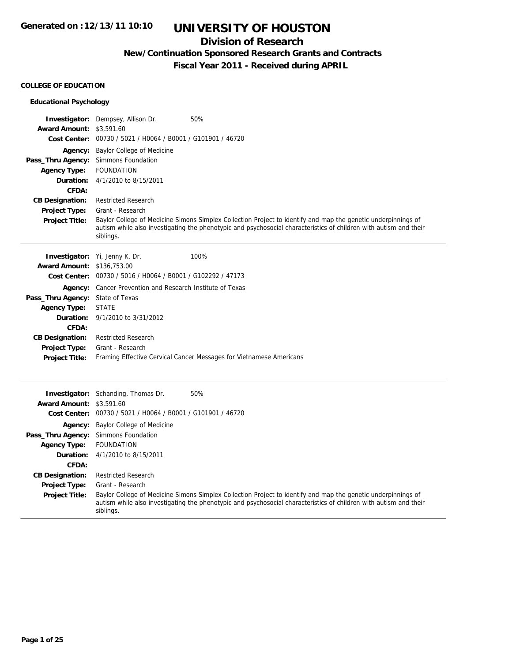## **Division of Research**

## **New/Continuation Sponsored Research Grants and Contracts**

**Fiscal Year 2011 - Received during APRIL**

#### **COLLEGE OF EDUCATION**

| <b>Educational Psychology</b>                                  |                                                                                                                                                                                                                                                 |
|----------------------------------------------------------------|-------------------------------------------------------------------------------------------------------------------------------------------------------------------------------------------------------------------------------------------------|
| <b>Award Amount: \$3,591.60</b>                                | 50%<br><b>Investigator:</b> Dempsey, Allison Dr.<br>Cost Center: 00730 / 5021 / H0064 / B0001 / G101901 / 46720                                                                                                                                 |
| Pass_Thru Agency:<br><b>Agency Type:</b><br>Duration:<br>CFDA: | <b>Agency:</b> Baylor College of Medicine<br>Simmons Foundation<br><b>FOUNDATION</b><br>4/1/2010 to 8/15/2011                                                                                                                                   |
| <b>CB Designation:</b>                                         | <b>Restricted Research</b>                                                                                                                                                                                                                      |
| Project Type:                                                  | Grant - Research                                                                                                                                                                                                                                |
| <b>Project Title:</b>                                          | Baylor College of Medicine Simons Simplex Collection Project to identify and map the genetic underpinnings of<br>autism while also investigating the phenotypic and psychosocial characteristics of children with autism and their<br>siblings. |
|                                                                | 100%<br><b>Investigator:</b> Yi, Jenny K. Dr.                                                                                                                                                                                                   |
| <b>Award Amount: \$136,753.00</b>                              |                                                                                                                                                                                                                                                 |
|                                                                | Cost Center: 00730 / 5016 / H0064 / B0001 / G102292 / 47173                                                                                                                                                                                     |
|                                                                | Agency: Cancer Prevention and Research Institute of Texas                                                                                                                                                                                       |
| Pass_Thru Agency: State of Texas                               |                                                                                                                                                                                                                                                 |
| <b>Agency Type:</b>                                            | <b>STATE</b>                                                                                                                                                                                                                                    |
| Duration:                                                      | 9/1/2010 to 3/31/2012                                                                                                                                                                                                                           |
| <b>CFDA:</b>                                                   |                                                                                                                                                                                                                                                 |
| <b>CB Designation:</b>                                         | <b>Restricted Research</b>                                                                                                                                                                                                                      |
| Project Type:                                                  | Grant - Research                                                                                                                                                                                                                                |
| <b>Project Title:</b>                                          | Framing Effective Cervical Cancer Messages for Vietnamese Americans                                                                                                                                                                             |
|                                                                |                                                                                                                                                                                                                                                 |
| <b>Award Amount: \$3,591.60</b>                                | 50%<br><b>Investigator:</b> Schanding, Thomas Dr.<br>Cost Center: 00730 / 5021 / H0064 / B0001 / G101901 / 46720                                                                                                                                |
|                                                                | <b>Agency:</b> Baylor College of Medicine                                                                                                                                                                                                       |
| Pass_Thru Agency:                                              | Simmons Foundation                                                                                                                                                                                                                              |
| <b>Agency Type:</b>                                            | <b>FOUNDATION</b>                                                                                                                                                                                                                               |
| Duration:                                                      | 4/1/2010 to 8/15/2011                                                                                                                                                                                                                           |
| <b>CFDA:</b>                                                   |                                                                                                                                                                                                                                                 |
| <b>CB Designation:</b>                                         | <b>Restricted Research</b>                                                                                                                                                                                                                      |
| Project Type:                                                  | Grant - Research                                                                                                                                                                                                                                |
| <b>Project Title:</b>                                          | Baylor College of Medicine Simons Simplex Collection Project to identify and map the genetic underpinnings of<br>autism while also investigating the phenotypic and psychosocial characteristics of children with autism and their<br>siblings. |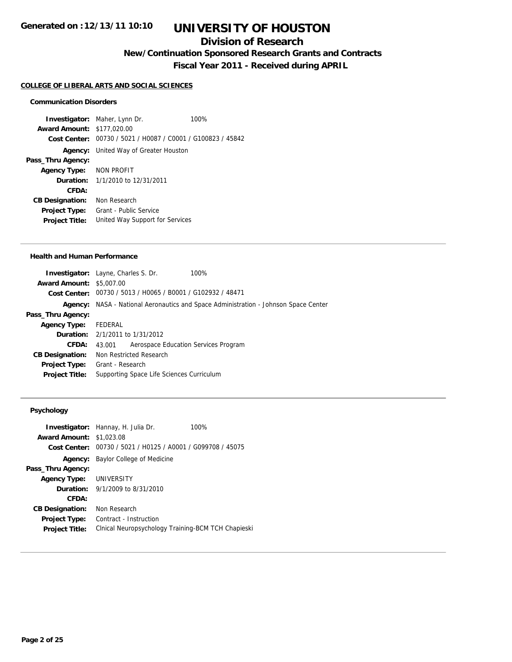## **Division of Research**

**New/Continuation Sponsored Research Grants and Contracts**

**Fiscal Year 2011 - Received during APRIL**

#### **COLLEGE OF LIBERAL ARTS AND SOCIAL SCIENCES**

### **Communication Disorders**

**Investigator:** Maher, Lynn Dr. 100% **Award Amount:** \$177,020.00 **Cost Center:** 00730 / 5021 / H0087 / C0001 / G100823 / 45842 **Agency:** United Way of Greater Houston **Pass\_Thru Agency: Agency Type:** NON PROFIT **Duration:** 1/1/2010 to 12/31/2011 **CFDA: CB Designation:** Non Research **Project Type:** Grant - Public Service **Project Title:** United Way Support for Services

#### **Health and Human Performance**

|                                 | <b>Investigator:</b> Layne, Charles S. Dr.                  | 100%                                                                                |
|---------------------------------|-------------------------------------------------------------|-------------------------------------------------------------------------------------|
| <b>Award Amount: \$5,007.00</b> |                                                             |                                                                                     |
|                                 | Cost Center: 00730 / 5013 / H0065 / B0001 / G102932 / 48471 |                                                                                     |
|                                 |                                                             | Agency: NASA - National Aeronautics and Space Administration - Johnson Space Center |
| Pass_Thru Agency:               |                                                             |                                                                                     |
| <b>Agency Type:</b>             | FEDERAL                                                     |                                                                                     |
|                                 | <b>Duration:</b> 2/1/2011 to 1/31/2012                      |                                                                                     |
| CFDA:                           | 43.001                                                      | Aerospace Education Services Program                                                |
| <b>CB Designation:</b>          | Non Restricted Research                                     |                                                                                     |
| <b>Project Type:</b>            | Grant - Research                                            |                                                                                     |
| <b>Project Title:</b>           | Supporting Space Life Sciences Curriculum                   |                                                                                     |
|                                 |                                                             |                                                                                     |

## **Psychology**

|                        | <b>Investigator:</b> Hannay, H. Julia Dr.<br>100%  |
|------------------------|----------------------------------------------------|
| <b>Award Amount:</b>   | \$1,023.08                                         |
| Cost Center:           | 00730 / 5021 / H0125 / A0001 / G099708 / 45075     |
| Agency:                | Baylor College of Medicine                         |
| Pass_Thru Agency:      |                                                    |
| <b>Agency Type:</b>    | UNIVERSITY                                         |
|                        | <b>Duration:</b> $9/1/2009$ to $8/31/2010$         |
| CFDA:                  |                                                    |
| <b>CB Designation:</b> | Non Research                                       |
| <b>Project Type:</b>   | Contract - Instruction                             |
| <b>Project Title:</b>  | Clnical Neuropsychology Training-BCM TCH Chapieski |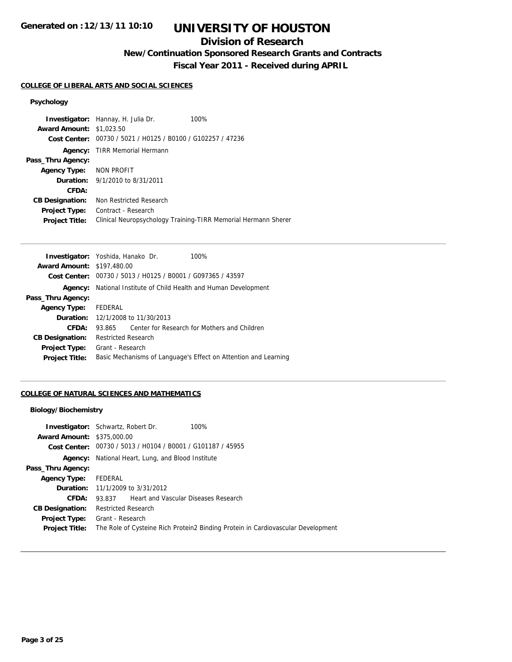# **UNIVERSITY OF HOUSTON**

## **Division of Research**

**New/Continuation Sponsored Research Grants and Contracts**

**Fiscal Year 2011 - Received during APRIL**

### **COLLEGE OF LIBERAL ARTS AND SOCIAL SCIENCES**

## **Psychology**

|                                 | Investigator: Hannay, H. Julia Dr.                          | 100%                                                           |
|---------------------------------|-------------------------------------------------------------|----------------------------------------------------------------|
| <b>Award Amount: \$1,023.50</b> |                                                             |                                                                |
|                                 | Cost Center: 00730 / 5021 / H0125 / B0100 / G102257 / 47236 |                                                                |
|                                 | <b>Agency:</b> TIRR Memorial Hermann                        |                                                                |
| Pass_Thru Agency:               |                                                             |                                                                |
| <b>Agency Type:</b>             | NON PROFIT                                                  |                                                                |
|                                 | <b>Duration:</b> 9/1/2010 to 8/31/2011                      |                                                                |
| CFDA:                           |                                                             |                                                                |
| <b>CB Designation:</b>          | Non Restricted Research                                     |                                                                |
| <b>Project Type:</b>            | Contract - Research                                         |                                                                |
| <b>Project Title:</b>           |                                                             | Clinical Neuropsychology Training-TIRR Memorial Hermann Sherer |

|                                   | <b>Investigator:</b> Yoshida, Hanako Dr.                    | 100%                                                            |
|-----------------------------------|-------------------------------------------------------------|-----------------------------------------------------------------|
| <b>Award Amount: \$197,480.00</b> |                                                             |                                                                 |
|                                   | Cost Center: 00730 / 5013 / H0125 / B0001 / G097365 / 43597 |                                                                 |
| Agency:                           | National Institute of Child Health and Human Development    |                                                                 |
| Pass_Thru Agency:                 |                                                             |                                                                 |
| <b>Agency Type:</b>               | FEDERAL                                                     |                                                                 |
|                                   | <b>Duration:</b> 12/1/2008 to 11/30/2013                    |                                                                 |
| CFDA:                             | 93.865                                                      | Center for Research for Mothers and Children                    |
| <b>CB Designation:</b>            | <b>Restricted Research</b>                                  |                                                                 |
| <b>Project Type:</b>              | Grant - Research                                            |                                                                 |
| <b>Project Title:</b>             |                                                             | Basic Mechanisms of Language's Effect on Attention and Learning |
|                                   |                                                             |                                                                 |

## **COLLEGE OF NATURAL SCIENCES AND MATHEMATICS**

## **Biology/Biochemistry**

| <b>Award Amount: \$375,000.00</b> | <b>Investigator:</b> Schwartz, Robert Dr.<br>100%<br><b>Cost Center:</b> $00730 / 5013 / 40104 / 80001 / 6101187 / 45955$ |  |
|-----------------------------------|---------------------------------------------------------------------------------------------------------------------------|--|
|                                   | <b>Agency:</b> National Heart, Lung, and Blood Institute                                                                  |  |
| Pass_Thru Agency:                 |                                                                                                                           |  |
| <b>Agency Type:</b>               | FEDERAL                                                                                                                   |  |
|                                   | <b>Duration:</b> 11/1/2009 to 3/31/2012                                                                                   |  |
| CFDA:                             | Heart and Vascular Diseases Research<br>93.837                                                                            |  |
| <b>CB Designation:</b>            | <b>Restricted Research</b>                                                                                                |  |
| <b>Project Type:</b>              | Grant - Research                                                                                                          |  |
| <b>Project Title:</b>             | The Role of Cysteine Rich Protein2 Binding Protein in Cardiovascular Development                                          |  |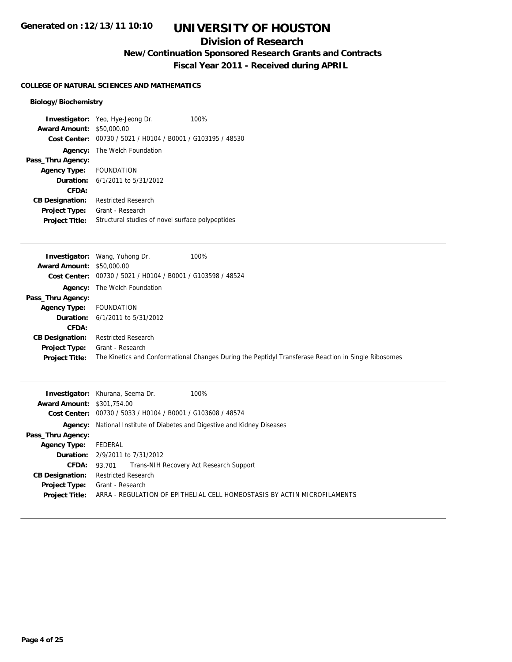## **Division of Research**

**New/Continuation Sponsored Research Grants and Contracts**

**Fiscal Year 2011 - Received during APRIL**

## **COLLEGE OF NATURAL SCIENCES AND MATHEMATICS**

## **Biology/Biochemistry**

|                                  | <b>Investigator:</b> Yeo, Hye-Jeong Dr.<br>100%             |
|----------------------------------|-------------------------------------------------------------|
| <b>Award Amount: \$50,000.00</b> |                                                             |
|                                  | Cost Center: 00730 / 5021 / H0104 / B0001 / G103195 / 48530 |
|                                  | <b>Agency:</b> The Welch Foundation                         |
| Pass_Thru Agency:                |                                                             |
| Agency Type: FOUNDATION          |                                                             |
|                                  | <b>Duration:</b> $6/1/2011$ to $5/31/2012$                  |
| CFDA:                            |                                                             |
| <b>CB Designation:</b>           | <b>Restricted Research</b>                                  |
| Project Type:                    | Grant - Research                                            |
| <b>Project Title:</b>            | Structural studies of novel surface polypeptides            |

|                                  | 100%<br><b>Investigator:</b> Wang, Yuhong Dr.               |                                                                                                      |
|----------------------------------|-------------------------------------------------------------|------------------------------------------------------------------------------------------------------|
| <b>Award Amount: \$50,000.00</b> |                                                             |                                                                                                      |
|                                  | Cost Center: 00730 / 5021 / H0104 / B0001 / G103598 / 48524 |                                                                                                      |
|                                  | <b>Agency:</b> The Welch Foundation                         |                                                                                                      |
| Pass_Thru Agency:                |                                                             |                                                                                                      |
| <b>Agency Type:</b>              | FOUNDATION                                                  |                                                                                                      |
|                                  | <b>Duration:</b> $6/1/2011$ to $5/31/2012$                  |                                                                                                      |
| CFDA:                            |                                                             |                                                                                                      |
| <b>CB Designation:</b>           | <b>Restricted Research</b>                                  |                                                                                                      |
| Project Type:                    | Grant - Research                                            |                                                                                                      |
| <b>Project Title:</b>            |                                                             | The Kinetics and Conformational Changes During the Peptidyl Transferase Reaction in Single Ribosomes |

|                                   | <b>Investigator:</b> Khurana, Seema Dr.<br>100%                                 |
|-----------------------------------|---------------------------------------------------------------------------------|
| <b>Award Amount: \$301,754.00</b> |                                                                                 |
|                                   | Cost Center: 00730 / 5033 / H0104 / B0001 / G103608 / 48574                     |
|                                   | <b>Agency:</b> National Institute of Diabetes and Digestive and Kidney Diseases |
| Pass_Thru Agency:                 |                                                                                 |
| <b>Agency Type:</b>               | FEDERAL                                                                         |
|                                   | <b>Duration:</b> 2/9/2011 to 7/31/2012                                          |
| CFDA: 93.701                      | Trans-NIH Recovery Act Research Support                                         |
| <b>CB Designation:</b>            | <b>Restricted Research</b>                                                      |
| <b>Project Type:</b>              | Grant - Research                                                                |
| <b>Project Title:</b>             | ARRA - REGULATION OF EPITHELIAL CELL HOMEOSTASIS BY ACTIN MICROFILAMENTS        |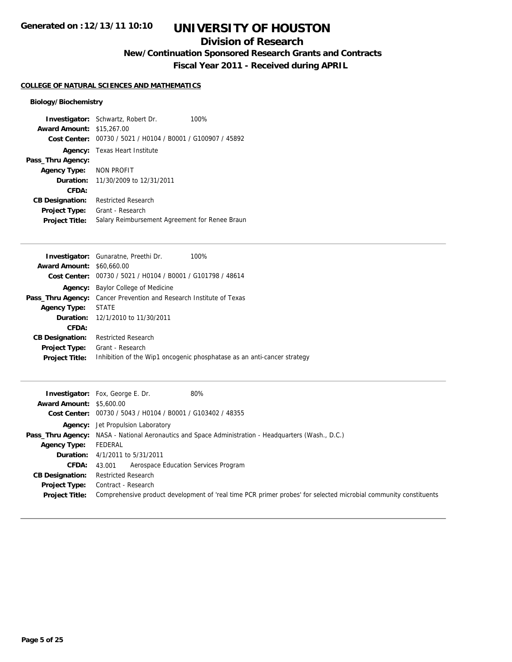## **Division of Research**

**New/Continuation Sponsored Research Grants and Contracts**

**Fiscal Year 2011 - Received during APRIL**

## **COLLEGE OF NATURAL SCIENCES AND MATHEMATICS**

## **Biology/Biochemistry**

|                                  | <b>Investigator:</b> Schwartz, Robert Dr.<br>100% |
|----------------------------------|---------------------------------------------------|
| <b>Award Amount: \$15,267.00</b> |                                                   |
| Cost Center:                     | 00730 / 5021 / H0104 / B0001 / G100907 / 45892    |
| Agency:                          | Texas Heart Institute                             |
| Pass_Thru Agency:                |                                                   |
| Agency Type:                     | NON PROFIT                                        |
| Duration:                        | 11/30/2009 to 12/31/2011                          |
| CFDA:                            |                                                   |
| <b>CB Designation:</b>           | <b>Restricted Research</b>                        |
| Project Type:                    | Grant - Research                                  |
| <b>Project Title:</b>            | Salary Reimbursement Agreement for Renee Braun    |

|                                  | <b>Investigator:</b> Gunaratne, Preethi Dr.<br>100%                        |
|----------------------------------|----------------------------------------------------------------------------|
| <b>Award Amount: \$60,660,00</b> |                                                                            |
|                                  | Cost Center: 00730 / 5021 / H0104 / B0001 / G101798 / 48614                |
| Agency:                          | Baylor College of Medicine                                                 |
|                                  | <b>Pass_Thru Agency:</b> Cancer Prevention and Research Institute of Texas |
| Agency Type:                     | STATE                                                                      |
|                                  | <b>Duration:</b> 12/1/2010 to 11/30/2011                                   |
| CFDA:                            |                                                                            |
| <b>CB Designation:</b>           | <b>Restricted Research</b>                                                 |
| <b>Project Type:</b>             | Grant - Research                                                           |
| <b>Project Title:</b>            | Inhibition of the Wip1 oncogenic phosphatase as an anti-cancer strategy    |
|                                  |                                                                            |

|                                 | 80%<br><b>Investigator:</b> Fox, George E. Dr.                                                                   |
|---------------------------------|------------------------------------------------------------------------------------------------------------------|
| <b>Award Amount: \$5,600.00</b> |                                                                                                                  |
|                                 | Cost Center: 00730 / 5043 / H0104 / B0001 / G103402 / 48355                                                      |
|                                 | <b>Agency:</b> Jet Propulsion Laboratory                                                                         |
|                                 | <b>Pass_Thru Agency:</b> NASA - National Aeronautics and Space Administration - Headquarters (Wash., D.C.)       |
| <b>Agency Type:</b>             | FEDERAL                                                                                                          |
|                                 | <b>Duration:</b> 4/1/2011 to 5/31/2011                                                                           |
| <b>CFDA:</b>                    | Aerospace Education Services Program<br>43.001                                                                   |
| <b>CB Designation:</b>          | <b>Restricted Research</b>                                                                                       |
| <b>Project Type:</b>            | Contract - Research                                                                                              |
| <b>Project Title:</b>           | Comprehensive product development of 'real time PCR primer probes' for selected microbial community constituents |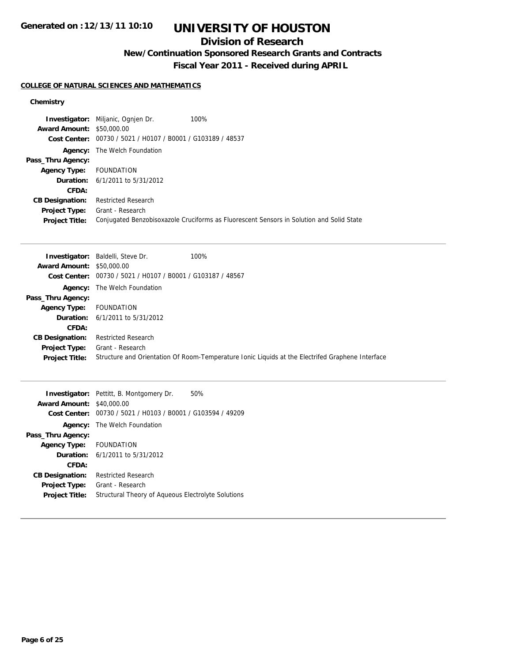# **UNIVERSITY OF HOUSTON**

## **Division of Research**

**New/Continuation Sponsored Research Grants and Contracts**

**Fiscal Year 2011 - Received during APRIL**

## **COLLEGE OF NATURAL SCIENCES AND MATHEMATICS**

|                                  | <b>Investigator:</b> Miljanic, Ognien Dr.                   | 100%                                                                                     |
|----------------------------------|-------------------------------------------------------------|------------------------------------------------------------------------------------------|
| <b>Award Amount: \$50,000.00</b> |                                                             |                                                                                          |
|                                  | Cost Center: 00730 / 5021 / H0107 / B0001 / G103189 / 48537 |                                                                                          |
|                                  | <b>Agency:</b> The Welch Foundation                         |                                                                                          |
| Pass_Thru Agency:                |                                                             |                                                                                          |
| Agency Type: FOUNDATION          |                                                             |                                                                                          |
|                                  | <b>Duration:</b> $6/1/2011$ to $5/31/2012$                  |                                                                                          |
| CFDA:                            |                                                             |                                                                                          |
| <b>CB Designation:</b>           | <b>Restricted Research</b>                                  |                                                                                          |
| <b>Project Type:</b>             | Grant - Research                                            |                                                                                          |
| <b>Project Title:</b>            |                                                             | Conjugated Benzobisoxazole Cruciforms as Fluorescent Sensors in Solution and Solid State |

|                                  | <b>Investigator:</b> Baldelli, Steve Dr.                    | 100%                                                                                             |
|----------------------------------|-------------------------------------------------------------|--------------------------------------------------------------------------------------------------|
| <b>Award Amount: \$50,000.00</b> |                                                             |                                                                                                  |
|                                  | Cost Center: 00730 / 5021 / H0107 / B0001 / G103187 / 48567 |                                                                                                  |
|                                  | <b>Agency:</b> The Welch Foundation                         |                                                                                                  |
| Pass_Thru Agency:                |                                                             |                                                                                                  |
| <b>Agency Type:</b>              | <b>FOUNDATION</b>                                           |                                                                                                  |
|                                  | <b>Duration:</b> $6/1/2011$ to $5/31/2012$                  |                                                                                                  |
| CFDA:                            |                                                             |                                                                                                  |
| <b>CB Designation:</b>           | <b>Restricted Research</b>                                  |                                                                                                  |
| <b>Project Type:</b>             | Grant - Research                                            |                                                                                                  |
| <b>Project Title:</b>            |                                                             | Structure and Orientation Of Room-Temperature Ionic Liquids at the Electrifed Graphene Interface |

|                                  | <b>Investigator:</b> Pettitt, B. Montgomery Dr.<br>50%      |
|----------------------------------|-------------------------------------------------------------|
| <b>Award Amount: \$40,000.00</b> |                                                             |
|                                  | Cost Center: 00730 / 5021 / H0103 / B0001 / G103594 / 49209 |
|                                  | <b>Agency:</b> The Welch Foundation                         |
| Pass_Thru Agency:                |                                                             |
| Agency Type: FOUNDATION          |                                                             |
|                                  | <b>Duration:</b> $6/1/2011$ to $5/31/2012$                  |
| CFDA:                            |                                                             |
| <b>CB Designation:</b>           | <b>Restricted Research</b>                                  |
| <b>Project Type:</b>             | Grant - Research                                            |
| <b>Project Title:</b>            | Structural Theory of Aqueous Electrolyte Solutions          |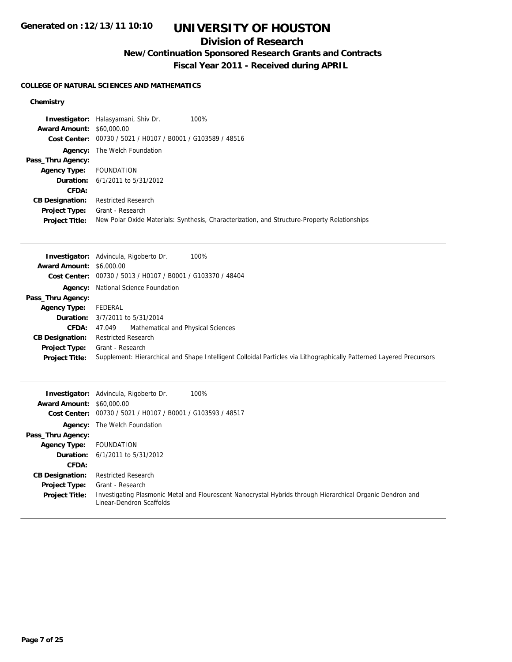# **UNIVERSITY OF HOUSTON**

## **Division of Research**

**New/Continuation Sponsored Research Grants and Contracts**

**Fiscal Year 2011 - Received during APRIL**

## **COLLEGE OF NATURAL SCIENCES AND MATHEMATICS**

|                                  | <b>Investigator:</b> Halasyamani, Shiv Dr.                  | 100%                                                                                         |
|----------------------------------|-------------------------------------------------------------|----------------------------------------------------------------------------------------------|
| <b>Award Amount: \$60,000.00</b> |                                                             |                                                                                              |
|                                  | Cost Center: 00730 / 5021 / H0107 / B0001 / G103589 / 48516 |                                                                                              |
|                                  | <b>Agency:</b> The Welch Foundation                         |                                                                                              |
| Pass_Thru Agency:                |                                                             |                                                                                              |
| <b>Agency Type:</b>              | FOUNDATION                                                  |                                                                                              |
|                                  | <b>Duration:</b> 6/1/2011 to 5/31/2012                      |                                                                                              |
| CFDA:                            |                                                             |                                                                                              |
| <b>CB Designation:</b>           | <b>Restricted Research</b>                                  |                                                                                              |
| <b>Project Type:</b>             | Grant - Research                                            |                                                                                              |
| <b>Project Title:</b>            |                                                             | New Polar Oxide Materials: Synthesis, Characterization, and Structure-Property Relationships |

|                                 | 100%<br><b>Investigator:</b> Advincula, Rigoberto Dr.                                                                |
|---------------------------------|----------------------------------------------------------------------------------------------------------------------|
| <b>Award Amount: \$6,000.00</b> |                                                                                                                      |
|                                 | Cost Center: 00730 / 5013 / H0107 / B0001 / G103370 / 48404                                                          |
|                                 | <b>Agency:</b> National Science Foundation                                                                           |
| Pass_Thru Agency:               |                                                                                                                      |
| <b>Agency Type:</b>             | FEDERAL                                                                                                              |
|                                 | <b>Duration:</b> 3/7/2011 to 5/31/2014                                                                               |
| <b>CFDA:</b>                    | Mathematical and Physical Sciences<br>47.049                                                                         |
| <b>CB Designation:</b>          | <b>Restricted Research</b>                                                                                           |
| <b>Project Type:</b>            | Grant - Research                                                                                                     |
| <b>Project Title:</b>           | Supplement: Hierarchical and Shape Intelligent Colloidal Particles via Lithographically Patterned Layered Precursors |

| <b>Award Amount: \$60,000.00</b>              | 100%<br><b>Investigator:</b> Advincula, Rigoberto Dr.                                                                                                      |
|-----------------------------------------------|------------------------------------------------------------------------------------------------------------------------------------------------------------|
|                                               | Cost Center: 00730 / 5021 / H0107 / B0001 / G103593 / 48517                                                                                                |
|                                               | <b>Agency:</b> The Welch Foundation                                                                                                                        |
| Pass_Thru Agency:                             |                                                                                                                                                            |
| <b>Agency Type:</b>                           | FOUNDATION                                                                                                                                                 |
|                                               | <b>Duration:</b> $6/1/2011$ to $5/31/2012$                                                                                                                 |
| CFDA:                                         |                                                                                                                                                            |
| <b>CB Designation:</b>                        | <b>Restricted Research</b>                                                                                                                                 |
| <b>Project Type:</b><br><b>Project Title:</b> | Grant - Research<br>Investigating Plasmonic Metal and Flourescent Nanocrystal Hybrids through Hierarchical Organic Dendron and<br>Linear-Dendron Scaffolds |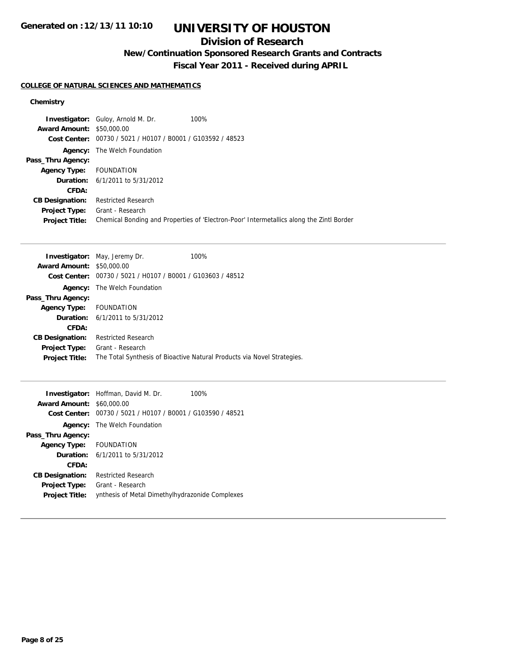# **UNIVERSITY OF HOUSTON**

## **Division of Research**

**New/Continuation Sponsored Research Grants and Contracts**

**Fiscal Year 2011 - Received during APRIL**

## **COLLEGE OF NATURAL SCIENCES AND MATHEMATICS**

|                                  | <b>Investigator:</b> Guloy, Arnold M. Dr.<br>100%           |                                                                                          |
|----------------------------------|-------------------------------------------------------------|------------------------------------------------------------------------------------------|
| <b>Award Amount: \$50,000.00</b> |                                                             |                                                                                          |
|                                  | Cost Center: 00730 / 5021 / H0107 / B0001 / G103592 / 48523 |                                                                                          |
|                                  | <b>Agency:</b> The Welch Foundation                         |                                                                                          |
| Pass_Thru Agency:                |                                                             |                                                                                          |
| <b>Agency Type:</b> FOUNDATION   |                                                             |                                                                                          |
|                                  | <b>Duration:</b> $6/1/2011$ to $5/31/2012$                  |                                                                                          |
| CFDA:                            |                                                             |                                                                                          |
| <b>CB Designation:</b>           | <b>Restricted Research</b>                                  |                                                                                          |
| <b>Project Type:</b>             | Grant - Research                                            |                                                                                          |
| <b>Project Title:</b>            |                                                             | Chemical Bonding and Properties of 'Electron-Poor' Intermetallics along the Zintl Border |

|                                  | <b>Investigator:</b> May, Jeremy Dr.                        | 100%                                                                    |
|----------------------------------|-------------------------------------------------------------|-------------------------------------------------------------------------|
| <b>Award Amount: \$50,000.00</b> |                                                             |                                                                         |
|                                  | Cost Center: 00730 / 5021 / H0107 / B0001 / G103603 / 48512 |                                                                         |
| Agency:                          | The Welch Foundation                                        |                                                                         |
| Pass_Thru Agency:                |                                                             |                                                                         |
| Agency Type: FOUNDATION          |                                                             |                                                                         |
|                                  | <b>Duration:</b> $6/1/2011$ to $5/31/2012$                  |                                                                         |
| CFDA:                            |                                                             |                                                                         |
| <b>CB Designation:</b>           | <b>Restricted Research</b>                                  |                                                                         |
| Project Type:                    | Grant - Research                                            |                                                                         |
| <b>Project Title:</b>            |                                                             | The Total Synthesis of Bioactive Natural Products via Novel Strategies. |
|                                  |                                                             |                                                                         |

| <b>Award Amount: \$60,000.00</b>              | <b>Investigator:</b> Hoffman, David M. Dr.<br>100%<br>Cost Center: 00730 / 5021 / H0107 / B0001 / G103590 / 48521 |
|-----------------------------------------------|-------------------------------------------------------------------------------------------------------------------|
|                                               | <b>Agency:</b> The Welch Foundation                                                                               |
| Pass_Thru Agency:                             |                                                                                                                   |
| Agency Type: FOUNDATION                       |                                                                                                                   |
|                                               | <b>Duration:</b> 6/1/2011 to 5/31/2012                                                                            |
| CFDA:                                         |                                                                                                                   |
| <b>CB Designation:</b>                        | <b>Restricted Research</b>                                                                                        |
| <b>Project Type:</b><br><b>Project Title:</b> | Grant - Research<br>ynthesis of Metal Dimethylhydrazonide Complexes                                               |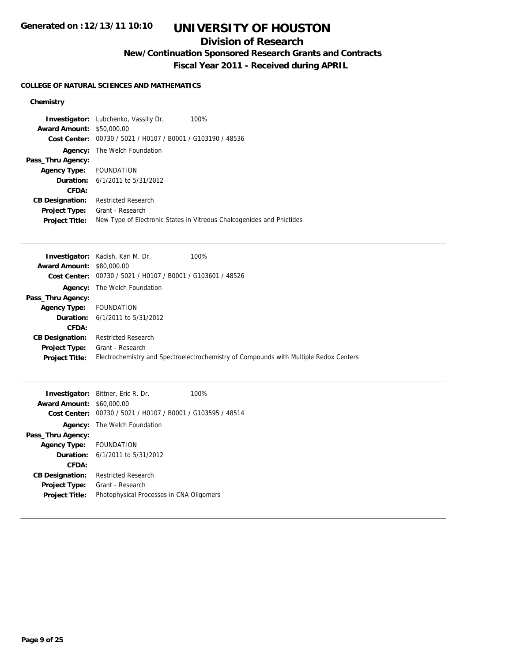# **UNIVERSITY OF HOUSTON**

## **Division of Research**

**New/Continuation Sponsored Research Grants and Contracts**

**Fiscal Year 2011 - Received during APRIL**

## **COLLEGE OF NATURAL SCIENCES AND MATHEMATICS**

|                                  | <b>Investigator:</b> Lubchenko, Vassiliy Dr.   | 100%                                                                  |
|----------------------------------|------------------------------------------------|-----------------------------------------------------------------------|
| <b>Award Amount: \$50,000.00</b> |                                                |                                                                       |
| Cost Center:                     | 00730 / 5021 / H0107 / B0001 / G103190 / 48536 |                                                                       |
|                                  | <b>Agency:</b> The Welch Foundation            |                                                                       |
| Pass_Thru Agency:                |                                                |                                                                       |
| Agency Type: FOUNDATION          |                                                |                                                                       |
|                                  | <b>Duration:</b> 6/1/2011 to 5/31/2012         |                                                                       |
| CFDA:                            |                                                |                                                                       |
| <b>CB Designation:</b>           | <b>Restricted Research</b>                     |                                                                       |
| <b>Project Type:</b>             | Grant - Research                               |                                                                       |
| <b>Project Title:</b>            |                                                | New Type of Electronic States in Vitreous Chalcogenides and Pnictides |

|                                  | 100%<br><b>Investigator:</b> Kadish, Karl M. Dr.            |                                                                                       |
|----------------------------------|-------------------------------------------------------------|---------------------------------------------------------------------------------------|
| <b>Award Amount: \$80,000.00</b> |                                                             |                                                                                       |
|                                  | Cost Center: 00730 / 5021 / H0107 / B0001 / G103601 / 48526 |                                                                                       |
|                                  | <b>Agency:</b> The Welch Foundation                         |                                                                                       |
| Pass_Thru Agency:                |                                                             |                                                                                       |
| <b>Agency Type:</b>              | FOUNDATION                                                  |                                                                                       |
|                                  | <b>Duration:</b> $6/1/2011$ to $5/31/2012$                  |                                                                                       |
| CFDA:                            |                                                             |                                                                                       |
| <b>CB Designation:</b>           | <b>Restricted Research</b>                                  |                                                                                       |
| <b>Project Type:</b>             | Grant - Research                                            |                                                                                       |
| <b>Project Title:</b>            |                                                             | Electrochemistry and Spectroelectrochemistry of Compounds with Multiple Redox Centers |

|                                                             | 100%                                                                                                                                                                                          |
|-------------------------------------------------------------|-----------------------------------------------------------------------------------------------------------------------------------------------------------------------------------------------|
|                                                             |                                                                                                                                                                                               |
| Cost Center: 00730 / 5021 / H0107 / B0001 / G103595 / 48514 |                                                                                                                                                                                               |
|                                                             |                                                                                                                                                                                               |
|                                                             |                                                                                                                                                                                               |
|                                                             |                                                                                                                                                                                               |
|                                                             |                                                                                                                                                                                               |
|                                                             |                                                                                                                                                                                               |
| <b>Restricted Research</b>                                  |                                                                                                                                                                                               |
| Grant - Research                                            |                                                                                                                                                                                               |
| Photophysical Processes in CNA Oligomers                    |                                                                                                                                                                                               |
|                                                             | <b>Investigator:</b> Bittner, Eric R. Dr.<br><b>Award Amount: \$60,000.00</b><br><b>Agency:</b> The Welch Foundation<br>Agency Type: FOUNDATION<br><b>Duration:</b> $6/1/2011$ to $5/31/2012$ |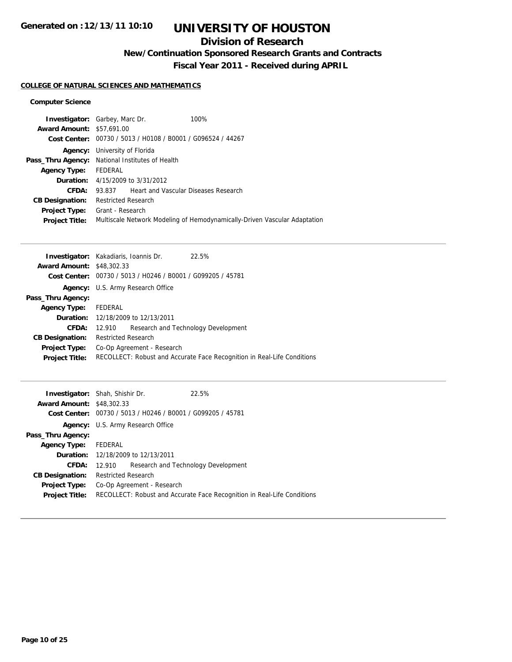# **UNIVERSITY OF HOUSTON**

## **Division of Research**

**New/Continuation Sponsored Research Grants and Contracts**

**Fiscal Year 2011 - Received during APRIL**

## **COLLEGE OF NATURAL SCIENCES AND MATHEMATICS**

## **Computer Science**

| <b>Investigator:</b> Garbey, Marc Dr. |                                                             |                                             | 100%                                                                      |
|---------------------------------------|-------------------------------------------------------------|---------------------------------------------|---------------------------------------------------------------------------|
| <b>Award Amount: \$57,691,00</b>      |                                                             |                                             |                                                                           |
|                                       | Cost Center: 00730 / 5013 / H0108 / B0001 / G096524 / 44267 |                                             |                                                                           |
| Agency:                               | University of Florida                                       |                                             |                                                                           |
| Pass_Thru Agency:                     | National Institutes of Health                               |                                             |                                                                           |
| <b>Agency Type:</b>                   | FEDERAL                                                     |                                             |                                                                           |
|                                       | <b>Duration:</b> 4/15/2009 to 3/31/2012                     |                                             |                                                                           |
| CFDA:                                 | 93.837                                                      | <b>Heart and Vascular Diseases Research</b> |                                                                           |
| <b>CB Designation:</b>                | <b>Restricted Research</b>                                  |                                             |                                                                           |
| <b>Project Type:</b>                  | Grant - Research                                            |                                             |                                                                           |
| <b>Project Title:</b>                 |                                                             |                                             | Multiscale Network Modeling of Hemodynamically-Driven Vascular Adaptation |
|                                       |                                                             |                                             |                                                                           |

| <b>Investigator:</b> Kakadiaris, Ioannis Dr. |                                           |                                                             | 22.5%                                                                   |
|----------------------------------------------|-------------------------------------------|-------------------------------------------------------------|-------------------------------------------------------------------------|
| <b>Award Amount: \$48,302.33</b>             |                                           |                                                             |                                                                         |
|                                              |                                           | Cost Center: 00730 / 5013 / H0246 / B0001 / G099205 / 45781 |                                                                         |
|                                              |                                           | <b>Agency:</b> U.S. Army Research Office                    |                                                                         |
| Pass_Thru Agency:                            |                                           |                                                             |                                                                         |
| <b>Agency Type:</b>                          | FEDERAL                                   |                                                             |                                                                         |
|                                              | <b>Duration:</b> 12/18/2009 to 12/13/2011 |                                                             |                                                                         |
| CFDA:                                        | 12.910                                    |                                                             | Research and Technology Development                                     |
| <b>CB Designation:</b>                       | <b>Restricted Research</b>                |                                                             |                                                                         |
| <b>Project Type:</b>                         | Co-Op Agreement - Research                |                                                             |                                                                         |
| <b>Project Title:</b>                        |                                           |                                                             | RECOLLECT: Robust and Accurate Face Recognition in Real-Life Conditions |
|                                              |                                           |                                                             |                                                                         |

| <b>Award Amount: \$48,302.33</b> | <b>Investigator:</b> Shah, Shishir Dr.<br>Cost Center: 00730 / 5013 / H0246 / B0001 / G099205 / 45781 | 22.5% |  |
|----------------------------------|-------------------------------------------------------------------------------------------------------|-------|--|
|                                  | Agency: U.S. Army Research Office                                                                     |       |  |
| Pass_Thru Agency:                |                                                                                                       |       |  |
| Agency Type:                     | FEDERAL                                                                                               |       |  |
|                                  | <b>Duration:</b> 12/18/2009 to 12/13/2011                                                             |       |  |
| CFDA:                            | Research and Technology Development<br>12.910                                                         |       |  |
| <b>CB Designation:</b>           | <b>Restricted Research</b>                                                                            |       |  |
| Project Type:                    | Co-Op Agreement - Research                                                                            |       |  |
| <b>Project Title:</b>            | RECOLLECT: Robust and Accurate Face Recognition in Real-Life Conditions                               |       |  |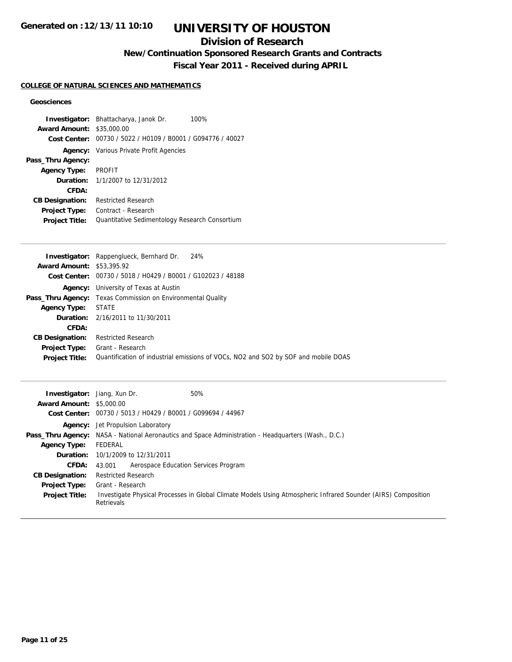# **UNIVERSITY OF HOUSTON**

## **Division of Research**

**New/Continuation Sponsored Research Grants and Contracts**

**Fiscal Year 2011 - Received during APRIL**

## **COLLEGE OF NATURAL SCIENCES AND MATHEMATICS**

## **Geosciences**

|                        | <b>Investigator:</b> Bhattacharya, Janok Dr.<br>100% |
|------------------------|------------------------------------------------------|
| <b>Award Amount:</b>   | \$35,000.00                                          |
| Cost Center:           | 00730 / 5022 / H0109 / B0001 / G094776 / 40027       |
| Agency:                | Various Private Profit Agencies                      |
| Pass_Thru Agency:      |                                                      |
| <b>Agency Type:</b>    | <b>PROFIT</b>                                        |
| <b>Duration:</b>       | 1/1/2007 to 12/31/2012                               |
| CFDA:                  |                                                      |
| <b>CB Designation:</b> | <b>Restricted Research</b>                           |
| <b>Project Type:</b>   | Contract - Research                                  |
| <b>Project Title:</b>  | Quantitative Sedimentology Research Consortium       |

|                                  | <b>Investigator:</b> Rappenglueck, Bernhard Dr. 24%                                |
|----------------------------------|------------------------------------------------------------------------------------|
| <b>Award Amount: \$53,395.92</b> |                                                                                    |
|                                  | Cost Center: 00730 / 5018 / H0429 / B0001 / G102023 / 48188                        |
|                                  | <b>Agency:</b> University of Texas at Austin                                       |
|                                  | <b>Pass_Thru Agency:</b> Texas Commission on Environmental Quality                 |
| <b>Agency Type:</b>              | <b>STATE</b>                                                                       |
|                                  | <b>Duration:</b> 2/16/2011 to 11/30/2011                                           |
| CFDA:                            |                                                                                    |
| <b>CB Designation:</b>           | <b>Restricted Research</b>                                                         |
| <b>Project Type:</b>             | Grant - Research                                                                   |
| <b>Project Title:</b>            | Quantification of industrial emissions of VOCs, NO2 and SO2 by SOF and mobile DOAS |
|                                  |                                                                                    |

| <b>Investigator:</b> Jiang, Xun Dr.<br><b>Award Amount: \$5,000.00</b> | 50%                                                                                                                                |
|------------------------------------------------------------------------|------------------------------------------------------------------------------------------------------------------------------------|
|                                                                        | Cost Center: 00730 / 5013 / H0429 / B0001 / G099694 / 44967                                                                        |
|                                                                        | <b>Agency:</b> Jet Propulsion Laboratory                                                                                           |
|                                                                        | <b>Pass_Thru Agency:</b> NASA - National Aeronautics and Space Administration - Headquarters (Wash., D.C.)                         |
| <b>Agency Type:</b>                                                    | FEDERAL                                                                                                                            |
|                                                                        | <b>Duration:</b> 10/1/2009 to 12/31/2011                                                                                           |
| <b>CFDA:</b>                                                           | Aerospace Education Services Program<br>43.001                                                                                     |
| <b>CB Designation:</b>                                                 | <b>Restricted Research</b>                                                                                                         |
| <b>Project Type:</b>                                                   | Grant - Research                                                                                                                   |
| <b>Project Title:</b>                                                  | Investigate Physical Processes in Global Climate Models Using Atmospheric Infrared Sounder (AIRS) Composition<br><b>Retrievals</b> |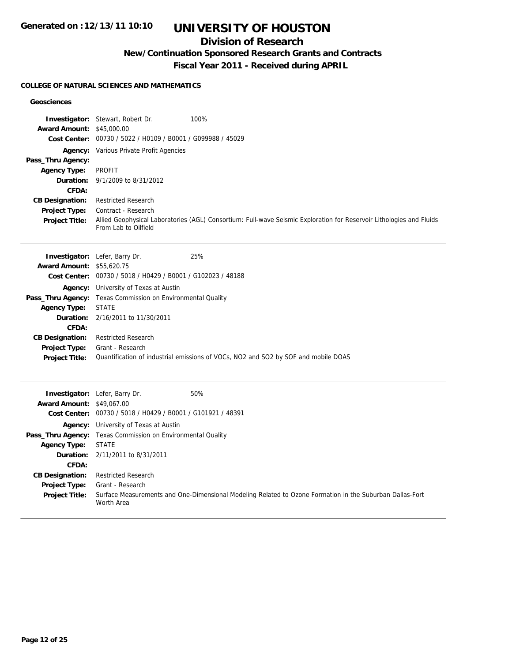# **UNIVERSITY OF HOUSTON**

## **Division of Research**

**New/Continuation Sponsored Research Grants and Contracts**

**Fiscal Year 2011 - Received during APRIL**

### **COLLEGE OF NATURAL SCIENCES AND MATHEMATICS**

## **Geosciences**

| <b>Award Amount: \$45,000.00</b> | <b>Investigator:</b> Stewart, Robert Dr.<br>Cost Center: 00730 / 5022 / H0109 / B0001 / G099988 / 45029 | 100%                                                                                                                 |
|----------------------------------|---------------------------------------------------------------------------------------------------------|----------------------------------------------------------------------------------------------------------------------|
|                                  |                                                                                                         |                                                                                                                      |
| Pass_Thru Agency:                | Agency: Various Private Profit Agencies                                                                 |                                                                                                                      |
| <b>Agency Type:</b>              | <b>PROFIT</b>                                                                                           |                                                                                                                      |
| Duration:                        | 9/1/2009 to 8/31/2012                                                                                   |                                                                                                                      |
| <b>CFDA:</b>                     |                                                                                                         |                                                                                                                      |
| <b>CB Designation:</b>           | <b>Restricted Research</b>                                                                              |                                                                                                                      |
| Project Type:                    | Contract - Research                                                                                     |                                                                                                                      |
| <b>Project Title:</b>            | From Lab to Oilfield                                                                                    | Allied Geophysical Laboratories (AGL) Consortium: Full-wave Seismic Exploration for Reservoir Lithologies and Fluids |
|                                  | Investigator: Lefer, Barry Dr.                                                                          | 25%                                                                                                                  |
| <b>Award Amount: \$55,620.75</b> |                                                                                                         |                                                                                                                      |
|                                  | Cost Center: 00730 / 5018 / H0429 / B0001 / G102023 / 48188                                             |                                                                                                                      |
|                                  | Agency: University of Texas at Austin                                                                   |                                                                                                                      |
|                                  | Pass_Thru Agency: Texas Commission on Environmental Quality                                             |                                                                                                                      |
| <b>Agency Type:</b>              | <b>STATE</b>                                                                                            |                                                                                                                      |
| Duration:                        | 2/16/2011 to 11/30/2011                                                                                 |                                                                                                                      |
| CFDA:                            |                                                                                                         |                                                                                                                      |
| <b>CB Designation:</b>           | <b>Restricted Research</b>                                                                              |                                                                                                                      |
| Project Type:                    | Grant - Research                                                                                        |                                                                                                                      |
| <b>Project Title:</b>            |                                                                                                         | Quantification of industrial emissions of VOCs, NO2 and SO2 by SOF and mobile DOAS                                   |
|                                  |                                                                                                         |                                                                                                                      |
| <b>Award Amount: \$49,067.00</b> | Investigator: Lefer, Barry Dr.                                                                          | 50%                                                                                                                  |
|                                  | Cost Center: 00730 / 5018 / H0429 / B0001 / G101921 / 48391                                             |                                                                                                                      |
| Agency:                          | University of Texas at Austin                                                                           |                                                                                                                      |
| Pass_Thru Agency:                | Texas Commission on Environmental Quality                                                               |                                                                                                                      |
| <b>Agency Type:</b>              | <b>STATE</b>                                                                                            |                                                                                                                      |
| Duration:                        | 2/11/2011 to 8/31/2011                                                                                  |                                                                                                                      |
| CFDA:                            |                                                                                                         |                                                                                                                      |
| <b>CB Designation:</b>           | <b>Restricted Research</b>                                                                              |                                                                                                                      |
| Project Type:                    | Grant - Research                                                                                        |                                                                                                                      |
| <b>Project Title:</b>            | Worth Area                                                                                              | Surface Measurements and One-Dimensional Modeling Related to Ozone Formation in the Suburban Dallas-Fort             |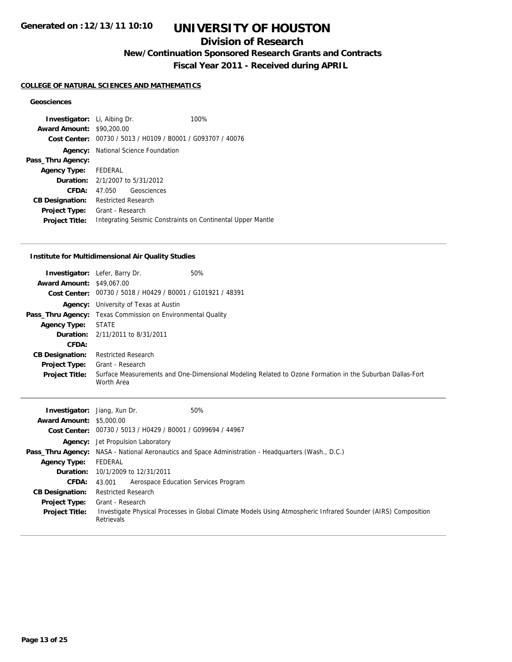## **Division of Research**

**New/Continuation Sponsored Research Grants and Contracts**

**Fiscal Year 2011 - Received during APRIL**

## **COLLEGE OF NATURAL SCIENCES AND MATHEMATICS**

## **Geosciences**

| <b>Investigator:</b> Li, Aibing Dr.    |                                            |                                                             | 100%                                                        |
|----------------------------------------|--------------------------------------------|-------------------------------------------------------------|-------------------------------------------------------------|
| <b>Award Amount: \$90,200.00</b>       |                                            |                                                             |                                                             |
|                                        |                                            | Cost Center: 00730 / 5013 / H0109 / B0001 / G093707 / 40076 |                                                             |
|                                        | <b>Agency:</b> National Science Foundation |                                                             |                                                             |
| Pass_Thru Agency:                      |                                            |                                                             |                                                             |
| Agency Type: FEDERAL                   |                                            |                                                             |                                                             |
| <b>Duration:</b> 2/1/2007 to 5/31/2012 |                                            |                                                             |                                                             |
| CFDA:                                  | 47.050                                     | Geosciences                                                 |                                                             |
| <b>CB Designation:</b>                 | <b>Restricted Research</b>                 |                                                             |                                                             |
| <b>Project Type:</b>                   | Grant - Research                           |                                                             |                                                             |
| <b>Project Title:</b>                  |                                            |                                                             | Integrating Seismic Constraints on Continental Upper Mantle |

#### **Institute for Multidimensional Air Quality Studies**

| <b>Award Amount: \$49,067.00</b> | 50%<br><b>Investigator:</b> Lefer, Barry Dr.<br>Cost Center: 00730 / 5018 / H0429 / B0001 / G101921 / 48391 |                                                                                                          |
|----------------------------------|-------------------------------------------------------------------------------------------------------------|----------------------------------------------------------------------------------------------------------|
|                                  | <b>Agency:</b> University of Texas at Austin                                                                |                                                                                                          |
|                                  | <b>Pass_Thru Agency:</b> Texas Commission on Environmental Quality                                          |                                                                                                          |
| <b>Agency Type:</b>              | <b>STATE</b>                                                                                                |                                                                                                          |
|                                  | <b>Duration:</b> 2/11/2011 to 8/31/2011                                                                     |                                                                                                          |
| CFDA:                            |                                                                                                             |                                                                                                          |
| <b>CB Designation:</b>           | <b>Restricted Research</b>                                                                                  |                                                                                                          |
| <b>Project Type:</b>             | Grant - Research                                                                                            |                                                                                                          |
| <b>Project Title:</b>            | Worth Area                                                                                                  | Surface Measurements and One-Dimensional Modeling Related to Ozone Formation in the Suburban Dallas-Fort |

| <b>Investigator:</b> Jiang, Xun Dr.<br><b>Award Amount: \$5,000.00</b> | 50%<br>Cost Center: 00730 / 5013 / H0429 / B0001 / G099694 / 44967                                                          |
|------------------------------------------------------------------------|-----------------------------------------------------------------------------------------------------------------------------|
|                                                                        | <b>Agency:</b> Jet Propulsion Laboratory                                                                                    |
|                                                                        | <b>Pass_Thru Agency:</b> NASA - National Aeronautics and Space Administration - Headquarters (Wash., D.C.)                  |
| <b>Agency Type:</b>                                                    | FEDERAL                                                                                                                     |
|                                                                        | <b>Duration:</b> 10/1/2009 to 12/31/2011                                                                                    |
| <b>CFDA:</b>                                                           | Aerospace Education Services Program<br>43.001                                                                              |
| <b>CB Designation:</b>                                                 | <b>Restricted Research</b>                                                                                                  |
| <b>Project Type:</b>                                                   | Grant - Research                                                                                                            |
| <b>Project Title:</b>                                                  | Investigate Physical Processes in Global Climate Models Using Atmospheric Infrared Sounder (AIRS) Composition<br>Retrievals |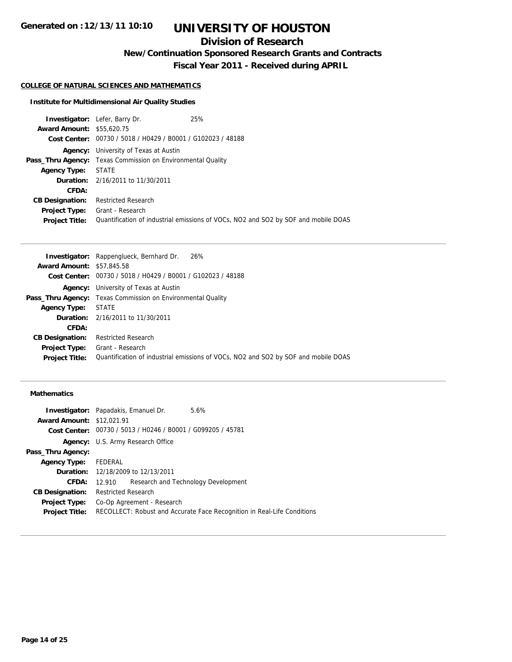## **Division of Research**

**New/Continuation Sponsored Research Grants and Contracts**

**Fiscal Year 2011 - Received during APRIL**

### **COLLEGE OF NATURAL SCIENCES AND MATHEMATICS**

#### **Institute for Multidimensional Air Quality Studies**

|                                  | <b>Investigator:</b> Lefer, Barry Dr.                              | 25%                                                                                |
|----------------------------------|--------------------------------------------------------------------|------------------------------------------------------------------------------------|
| <b>Award Amount: \$55,620.75</b> |                                                                    |                                                                                    |
|                                  | Cost Center: 00730 / 5018 / H0429 / B0001 / G102023 / 48188        |                                                                                    |
|                                  | <b>Agency:</b> University of Texas at Austin                       |                                                                                    |
|                                  | <b>Pass_Thru Agency:</b> Texas Commission on Environmental Quality |                                                                                    |
| <b>Agency Type:</b>              | STATE                                                              |                                                                                    |
|                                  | <b>Duration:</b> 2/16/2011 to 11/30/2011                           |                                                                                    |
| CFDA:                            |                                                                    |                                                                                    |
| <b>CB Designation:</b>           | <b>Restricted Research</b>                                         |                                                                                    |
| <b>Project Type:</b>             | Grant - Research                                                   |                                                                                    |
| <b>Project Title:</b>            |                                                                    | Quantification of industrial emissions of VOCs, NO2 and SO2 by SOF and mobile DOAS |

|                                  | <b>Investigator:</b> Rappenglueck, Bernhard Dr. 26%                                |
|----------------------------------|------------------------------------------------------------------------------------|
| <b>Award Amount: \$57,845.58</b> |                                                                                    |
|                                  | Cost Center: 00730 / 5018 / H0429 / B0001 / G102023 / 48188                        |
|                                  | <b>Agency:</b> University of Texas at Austin                                       |
|                                  | <b>Pass_Thru Agency:</b> Texas Commission on Environmental Quality                 |
| <b>Agency Type:</b>              | <b>STATE</b>                                                                       |
|                                  | <b>Duration:</b> 2/16/2011 to 11/30/2011                                           |
| CFDA:                            |                                                                                    |
| <b>CB Designation:</b>           | <b>Restricted Research</b>                                                         |
| Project Type:                    | Grant - Research                                                                   |
| <b>Project Title:</b>            | Quantification of industrial emissions of VOCs, NO2 and SO2 by SOF and mobile DOAS |
|                                  |                                                                                    |

## **Mathematics**

| <b>Investigator:</b> Papadakis, Emanuel Dr. |                            |                                                             | 5.6%                                                                    |
|---------------------------------------------|----------------------------|-------------------------------------------------------------|-------------------------------------------------------------------------|
| <b>Award Amount: \$12,021.91</b>            |                            |                                                             |                                                                         |
|                                             |                            | Cost Center: 00730 / 5013 / H0246 / B0001 / G099205 / 45781 |                                                                         |
|                                             |                            | <b>Agency:</b> U.S. Army Research Office                    |                                                                         |
| Pass_Thru Agency:                           |                            |                                                             |                                                                         |
| Agency Type: FEDERAL                        |                            |                                                             |                                                                         |
|                                             |                            | <b>Duration:</b> 12/18/2009 to 12/13/2011                   |                                                                         |
| CFDA:                                       | 12.910                     |                                                             | Research and Technology Development                                     |
| <b>CB Designation:</b>                      | <b>Restricted Research</b> |                                                             |                                                                         |
| <b>Project Type:</b>                        |                            | Co-Op Agreement - Research                                  |                                                                         |
| <b>Project Title:</b>                       |                            |                                                             | RECOLLECT: Robust and Accurate Face Recognition in Real-Life Conditions |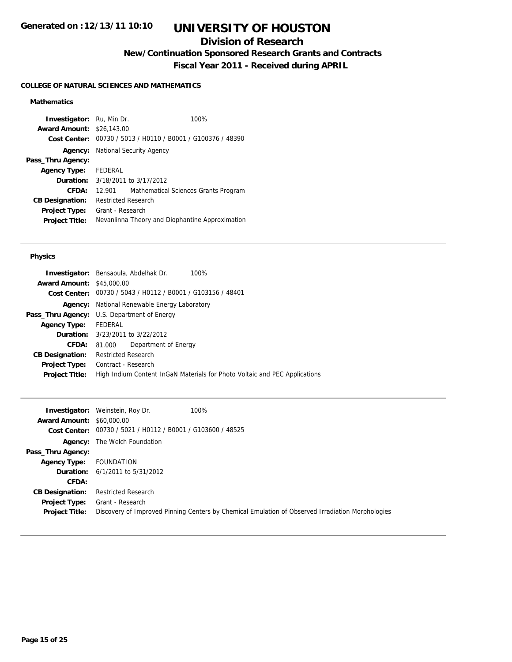## **Division of Research**

**New/Continuation Sponsored Research Grants and Contracts**

**Fiscal Year 2011 - Received during APRIL**

## **COLLEGE OF NATURAL SCIENCES AND MATHEMATICS**

## **Mathematics**

| <b>Investigator:</b> Ru, Min Dr. |                            |                                                 | 100% |
|----------------------------------|----------------------------|-------------------------------------------------|------|
| <b>Award Amount:</b>             | \$26,143.00                |                                                 |      |
| Cost Center:                     |                            | 00730 / 5013 / H0110 / B0001 / G100376 / 48390  |      |
| Agency:                          |                            | National Security Agency                        |      |
| Pass_Thru Agency:                |                            |                                                 |      |
| <b>Agency Type:</b>              | FEDERAL                    |                                                 |      |
| Duration:                        |                            | 3/18/2011 to 3/17/2012                          |      |
| CFDA:                            | 12.901                     | Mathematical Sciences Grants Program            |      |
| <b>CB Designation:</b>           | <b>Restricted Research</b> |                                                 |      |
| <b>Project Type:</b>             | Grant - Research           |                                                 |      |
| <b>Project Title:</b>            |                            | Nevanlinna Theory and Diophantine Approximation |      |

#### **Physics**

|                                  | Investigator: Bensaoula, Abdelhak Dr.<br>100%                              |  |  |
|----------------------------------|----------------------------------------------------------------------------|--|--|
| <b>Award Amount: \$45,000.00</b> |                                                                            |  |  |
|                                  | Cost Center: 00730 / 5043 / H0112 / B0001 / G103156 / 48401                |  |  |
|                                  | <b>Agency:</b> National Renewable Energy Laboratory                        |  |  |
|                                  | <b>Pass_Thru Agency:</b> U.S. Department of Energy                         |  |  |
| <b>Agency Type:</b>              | FEDERAL                                                                    |  |  |
|                                  | <b>Duration:</b> 3/23/2011 to 3/22/2012                                    |  |  |
| <b>CFDA:</b>                     | Department of Energy<br>81.000                                             |  |  |
| <b>CB Designation:</b>           | <b>Restricted Research</b>                                                 |  |  |
| Project Type:                    | Contract - Research                                                        |  |  |
| <b>Project Title:</b>            | High Indium Content InGaN Materials for Photo Voltaic and PEC Applications |  |  |
|                                  |                                                                            |  |  |

|                                  | 100%<br><b>Investigator:</b> Weinstein, Roy Dr.             |                                                                                                  |
|----------------------------------|-------------------------------------------------------------|--------------------------------------------------------------------------------------------------|
| <b>Award Amount: \$60,000.00</b> |                                                             |                                                                                                  |
|                                  | Cost Center: 00730 / 5021 / H0112 / B0001 / G103600 / 48525 |                                                                                                  |
|                                  | <b>Agency:</b> The Welch Foundation                         |                                                                                                  |
| Pass_Thru Agency:                |                                                             |                                                                                                  |
| <b>Agency Type:</b>              | FOUNDATION                                                  |                                                                                                  |
|                                  | <b>Duration:</b> 6/1/2011 to 5/31/2012                      |                                                                                                  |
| <b>CFDA:</b>                     |                                                             |                                                                                                  |
| <b>CB Designation:</b>           | <b>Restricted Research</b>                                  |                                                                                                  |
| <b>Project Type:</b>             | Grant - Research                                            |                                                                                                  |
| <b>Project Title:</b>            |                                                             | Discovery of Improved Pinning Centers by Chemical Emulation of Observed Irradiation Morphologies |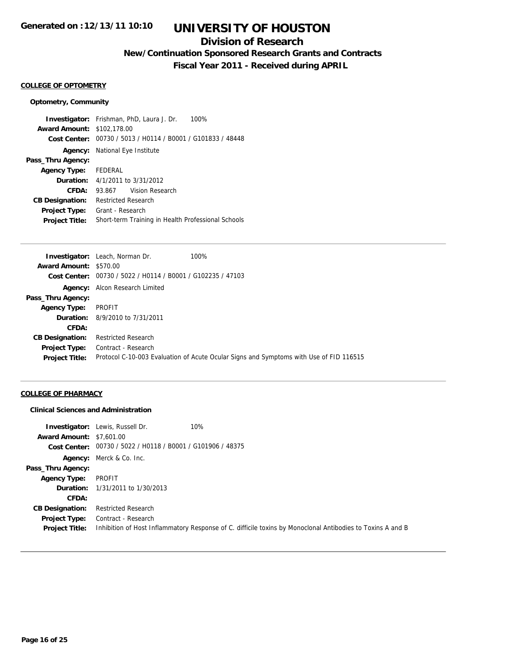## **Division of Research**

**New/Continuation Sponsored Research Grants and Contracts**

**Fiscal Year 2011 - Received during APRIL**

#### **COLLEGE OF OPTOMETRY**

#### **Optometry, Community**

**Investigator:** Frishman, PhD, Laura J. Dr. 100% **Award Amount:** \$102,178.00 **Cost Center:** 00730 / 5013 / H0114 / B0001 / G101833 / 48448 **Agency:** National Eye Institute **Pass\_Thru Agency: Agency Type:** FEDERAL **Duration:** 4/1/2011 to 3/31/2012 **CFDA:** 93.867 Vision Research **CB Designation:** Restricted Research **Project Type:** Grant - Research **Project Title:** Short-term Training in Health Professional Schools

|                               | <b>Investigator:</b> Leach, Norman Dr.                        | 100%                                                                                   |
|-------------------------------|---------------------------------------------------------------|----------------------------------------------------------------------------------------|
| <b>Award Amount: \$570.00</b> |                                                               |                                                                                        |
|                               | Cost Center: $00730 / 5022 / 10114 / 80001 / 6102235 / 47103$ |                                                                                        |
|                               | <b>Agency:</b> Alcon Research Limited                         |                                                                                        |
| Pass_Thru Agency:             |                                                               |                                                                                        |
| <b>Agency Type:</b>           | PROFIT                                                        |                                                                                        |
|                               | <b>Duration:</b> 8/9/2010 to 7/31/2011                        |                                                                                        |
| CFDA:                         |                                                               |                                                                                        |
| <b>CB Designation:</b>        | <b>Restricted Research</b>                                    |                                                                                        |
| Project Type:                 | Contract - Research                                           |                                                                                        |
| <b>Project Title:</b>         |                                                               | Protocol C-10-003 Evaluation of Acute Ocular Signs and Symptoms with Use of FID 116515 |
|                               |                                                               |                                                                                        |

#### **COLLEGE OF PHARMACY**

#### **Clinical Sciences and Administration**

|                                               | <b>Investigator:</b> Lewis, Russell Dr.                     | 10%                                                                                                        |
|-----------------------------------------------|-------------------------------------------------------------|------------------------------------------------------------------------------------------------------------|
| <b>Award Amount: \$7,601.00</b>               |                                                             |                                                                                                            |
|                                               | Cost Center: 00730 / 5022 / H0118 / B0001 / G101906 / 48375 |                                                                                                            |
|                                               | Agency: Merck & Co. Inc.                                    |                                                                                                            |
| Pass_Thru Agency:                             |                                                             |                                                                                                            |
| <b>Agency Type:</b>                           | PROFIT                                                      |                                                                                                            |
|                                               | <b>Duration:</b> 1/31/2011 to 1/30/2013                     |                                                                                                            |
| CFDA:                                         |                                                             |                                                                                                            |
| <b>CB Designation:</b>                        | <b>Restricted Research</b>                                  |                                                                                                            |
| <b>Project Type:</b><br><b>Project Title:</b> | Contract - Research                                         | Inhibition of Host Inflammatory Response of C. difficile toxins by Monoclonal Antibodies to Toxins A and B |
|                                               |                                                             |                                                                                                            |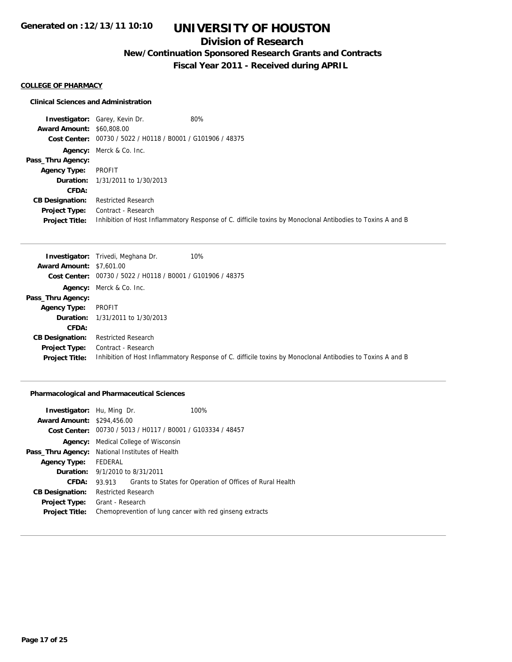## **Division of Research**

**New/Continuation Sponsored Research Grants and Contracts**

**Fiscal Year 2011 - Received during APRIL**

## **COLLEGE OF PHARMACY**

#### **Clinical Sciences and Administration**

**Investigator:** Garey, Kevin Dr. 60% **Award Amount:** \$60,808.00 **Cost Center:** 00730 / 5022 / H0118 / B0001 / G101906 / 48375 **Agency:** Merck & Co. Inc. **Pass\_Thru Agency: Agency Type:** PROFIT **Duration:** 1/31/2011 to 1/30/2013 **CFDA: CB Designation:** Restricted Research **Project Type:** Contract - Research **Project Title:** Inhibition of Host Inflammatory Response of C. difficile toxins by Monoclonal Antibodies to Toxins A and B

|                                 | 10%<br><b>Investigator:</b> Trivedi, Meghana Dr.                                                           |
|---------------------------------|------------------------------------------------------------------------------------------------------------|
| <b>Award Amount: \$7,601.00</b> |                                                                                                            |
|                                 | Cost Center: $00730 / 5022 / 10118 / 80001 / 6101906 / 48375$                                              |
|                                 | <b>Agency:</b> Merck & Co. Inc.                                                                            |
| Pass_Thru Agency:               |                                                                                                            |
| <b>Agency Type:</b>             | PROFIT                                                                                                     |
|                                 | <b>Duration:</b> 1/31/2011 to 1/30/2013                                                                    |
| CFDA:                           |                                                                                                            |
| <b>CB Designation:</b>          | <b>Restricted Research</b>                                                                                 |
| <b>Project Type:</b>            | Contract - Research                                                                                        |
| <b>Project Title:</b>           | Inhibition of Host Inflammatory Response of C. difficile toxins by Monoclonal Antibodies to Toxins A and B |

#### **Pharmacological and Pharmaceutical Sciences**

| <b>Investigator:</b> Hu, Ming Dr.      |                                                             |  | 100%                                                      |
|----------------------------------------|-------------------------------------------------------------|--|-----------------------------------------------------------|
| <b>Award Amount: \$294,456.00</b>      |                                                             |  |                                                           |
|                                        | Cost Center: 00730 / 5013 / H0117 / B0001 / G103334 / 48457 |  |                                                           |
| Agency:                                | Medical College of Wisconsin                                |  |                                                           |
| Pass_Thru Agency:                      | National Institutes of Health                               |  |                                                           |
| <b>Agency Type:</b>                    | FEDERAL                                                     |  |                                                           |
| <b>Duration:</b> 9/1/2010 to 8/31/2011 |                                                             |  |                                                           |
| CFDA:                                  | 93.913                                                      |  | Grants to States for Operation of Offices of Rural Health |
| <b>CB Designation:</b>                 | <b>Restricted Research</b>                                  |  |                                                           |
| <b>Project Type:</b>                   | Grant - Research                                            |  |                                                           |
| <b>Project Title:</b>                  |                                                             |  | Chemoprevention of lung cancer with red ginseng extracts  |
|                                        |                                                             |  |                                                           |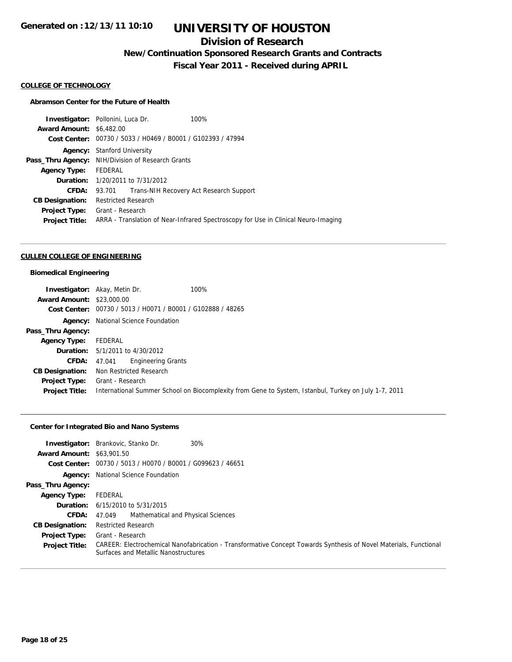## **Division of Research**

**New/Continuation Sponsored Research Grants and Contracts**

**Fiscal Year 2011 - Received during APRIL**

#### **COLLEGE OF TECHNOLOGY**

### **Abramson Center for the Future of Health**

|                                                   |  | 100%                                                                                                    |
|---------------------------------------------------|--|---------------------------------------------------------------------------------------------------------|
| <b>Award Amount: \$6,482.00</b>                   |  |                                                                                                         |
|                                                   |  |                                                                                                         |
| <b>Stanford University</b><br>Agency:             |  |                                                                                                         |
| Pass_Thru Agency: NIH/Division of Research Grants |  |                                                                                                         |
| FEDERAL                                           |  |                                                                                                         |
| <b>Duration:</b> 1/20/2011 to 7/31/2012           |  |                                                                                                         |
| 93.701                                            |  | Trans-NIH Recovery Act Research Support                                                                 |
| <b>Restricted Research</b>                        |  |                                                                                                         |
| Grant - Research                                  |  |                                                                                                         |
|                                                   |  | ARRA - Translation of Near-Infrared Spectroscopy for Use in Clinical Neuro-Imaging                      |
|                                                   |  | <b>Investigator:</b> Pollonini, Luca Dr.<br>Cost Center: 00730 / 5033 / H0469 / B0001 / G102393 / 47994 |

#### **CULLEN COLLEGE OF ENGINEERING**

## **Biomedical Engineering**

|                                  | 100%<br><b>Investigator:</b> Akay, Metin Dr.                                                         |
|----------------------------------|------------------------------------------------------------------------------------------------------|
| <b>Award Amount: \$23,000.00</b> |                                                                                                      |
| Cost Center:                     | 00730 / 5013 / H0071 / B0001 / G102888 / 48265                                                       |
|                                  | Agency: National Science Foundation                                                                  |
| Pass_Thru Agency:                |                                                                                                      |
| <b>Agency Type:</b>              | FEDERAL                                                                                              |
| <b>Duration:</b>                 | 5/1/2011 to 4/30/2012                                                                                |
| <b>CFDA:</b>                     | Engineering Grants<br>47.041                                                                         |
| <b>CB Designation:</b>           | Non Restricted Research                                                                              |
| Project Type:                    | Grant - Research                                                                                     |
| <b>Project Title:</b>            | International Summer School on Biocomplexity from Gene to System, Istanbul, Turkey on July 1-7, 2011 |

## **Center for Integrated Bio and Nano Systems**

| Investigator:<br><b>Award Amount: \$63,901.50</b> | 30%<br>Brankovic, Stanko Dr.                                                                                                                              |
|---------------------------------------------------|-----------------------------------------------------------------------------------------------------------------------------------------------------------|
| Cost Center:                                      | 00730 / 5013 / H0070 / B0001 / G099623 / 46651                                                                                                            |
| Agency:                                           | National Science Foundation                                                                                                                               |
| Pass_Thru Agency:                                 |                                                                                                                                                           |
| <b>Agency Type:</b>                               | FEDERAL                                                                                                                                                   |
|                                                   | <b>Duration:</b> $6/15/2010$ to $5/31/2015$                                                                                                               |
| <b>CFDA:</b>                                      | Mathematical and Physical Sciences<br>47.049                                                                                                              |
| <b>CB Designation:</b>                            | <b>Restricted Research</b>                                                                                                                                |
| <b>Project Type:</b>                              | Grant - Research                                                                                                                                          |
| <b>Project Title:</b>                             | CAREER: Electrochemical Nanofabrication - Transformative Concept Towards Synthesis of Novel Materials, Functional<br>Surfaces and Metallic Nanostructures |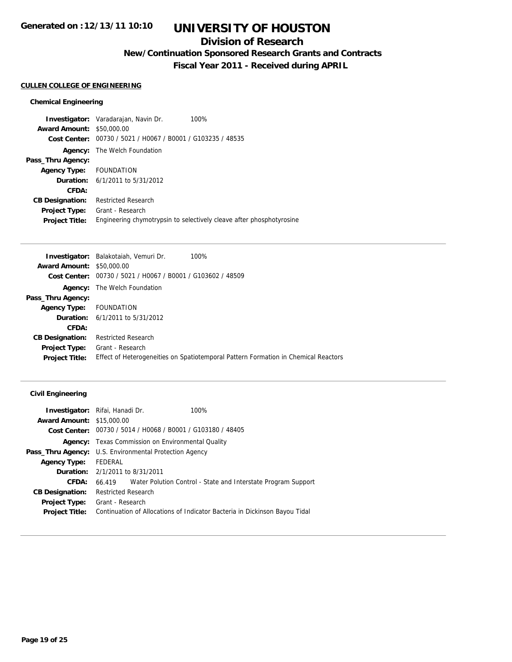## **Division of Research**

**New/Continuation Sponsored Research Grants and Contracts**

**Fiscal Year 2011 - Received during APRIL**

## **CULLEN COLLEGE OF ENGINEERING**

## **Chemical Engineering**

|                         | <b>Investigator:</b> Varadarajan, Navin Dr.<br>100%                  |
|-------------------------|----------------------------------------------------------------------|
| <b>Award Amount:</b>    | \$50,000.00                                                          |
|                         | Cost Center: 00730 / 5021 / H0067 / B0001 / G103235 / 48535          |
| Agency:                 | The Welch Foundation                                                 |
| Pass_Thru Agency:       |                                                                      |
| Agency Type: FOUNDATION |                                                                      |
|                         | <b>Duration:</b> $6/1/2011$ to $5/31/2012$                           |
| CFDA:                   |                                                                      |
| <b>CB Designation:</b>  | <b>Restricted Research</b>                                           |
| <b>Project Type:</b>    | Grant - Research                                                     |
| <b>Project Title:</b>   | Engineering chymotrypsin to selectively cleave after phosphotyrosine |

|                        | Investigator: Balakotaiah, Vemuri Dr.                       | 100%                                                                               |
|------------------------|-------------------------------------------------------------|------------------------------------------------------------------------------------|
| <b>Award Amount:</b>   | \$50,000.00                                                 |                                                                                    |
|                        | Cost Center: 00730 / 5021 / H0067 / B0001 / G103602 / 48509 |                                                                                    |
|                        | <b>Agency:</b> The Welch Foundation                         |                                                                                    |
| Pass_Thru Agency:      |                                                             |                                                                                    |
| <b>Agency Type:</b>    | FOUNDATION                                                  |                                                                                    |
|                        | <b>Duration:</b> $6/1/2011$ to $5/31/2012$                  |                                                                                    |
| CFDA:                  |                                                             |                                                                                    |
| <b>CB Designation:</b> | <b>Restricted Research</b>                                  |                                                                                    |
| <b>Project Type:</b>   | Grant - Research                                            |                                                                                    |
| <b>Project Title:</b>  |                                                             | Effect of Heterogeneities on Spatiotemporal Pattern Formation in Chemical Reactors |
|                        |                                                             |                                                                                    |

## **Civil Engineering**

|                                  | <b>Investigator:</b> Rifai, Hanadi Dr.<br>100%                             |  |  |  |
|----------------------------------|----------------------------------------------------------------------------|--|--|--|
| <b>Award Amount: \$15,000.00</b> |                                                                            |  |  |  |
|                                  | Cost Center: 00730 / 5014 / H0068 / B0001 / G103180 / 48405                |  |  |  |
|                                  | <b>Agency:</b> Texas Commission on Environmental Quality                   |  |  |  |
|                                  | <b>Pass_Thru Agency:</b> U.S. Environmental Protection Agency              |  |  |  |
| <b>Agency Type:</b>              | FEDERAL                                                                    |  |  |  |
|                                  | <b>Duration:</b> 2/1/2011 to 8/31/2011                                     |  |  |  |
| CFDA:                            | 66.419 Water Polution Control - State and Interstate Program Support       |  |  |  |
| <b>CB Designation:</b>           | <b>Restricted Research</b>                                                 |  |  |  |
| <b>Project Type:</b>             | Grant - Research                                                           |  |  |  |
| <b>Project Title:</b>            | Continuation of Allocations of Indicator Bacteria in Dickinson Bayou Tidal |  |  |  |
|                                  |                                                                            |  |  |  |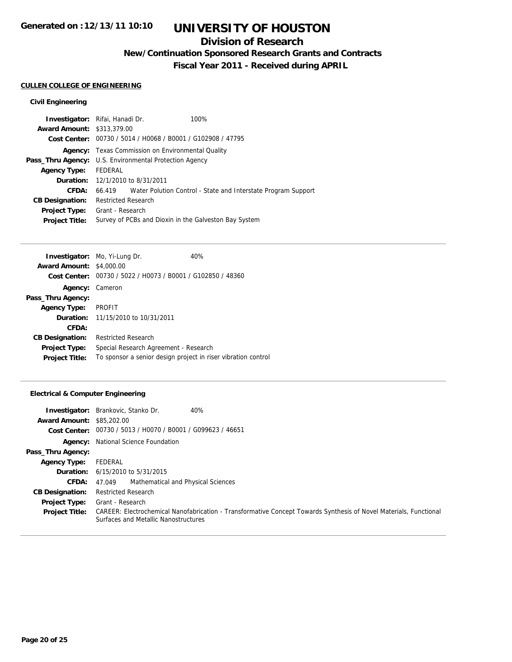## **Division of Research**

**New/Continuation Sponsored Research Grants and Contracts**

**Fiscal Year 2011 - Received during APRIL**

## **CULLEN COLLEGE OF ENGINEERING**

## **Civil Engineering**

| Investigator: Rifai, Hanadi Dr.   |                                                               |                                                             | 100%                                                                 |  |  |
|-----------------------------------|---------------------------------------------------------------|-------------------------------------------------------------|----------------------------------------------------------------------|--|--|
| <b>Award Amount: \$313,379.00</b> |                                                               |                                                             |                                                                      |  |  |
|                                   |                                                               | Cost Center: 00730 / 5014 / H0068 / B0001 / G102908 / 47795 |                                                                      |  |  |
|                                   | <b>Agency:</b> Texas Commission on Environmental Quality      |                                                             |                                                                      |  |  |
|                                   | <b>Pass_Thru Agency:</b> U.S. Environmental Protection Agency |                                                             |                                                                      |  |  |
| <b>Agency Type:</b>               | FEDERAL                                                       |                                                             |                                                                      |  |  |
|                                   | <b>Duration:</b> 12/1/2010 to 8/31/2011                       |                                                             |                                                                      |  |  |
| CFDA:                             |                                                               |                                                             | 66.419 Water Polution Control - State and Interstate Program Support |  |  |
| <b>CB Designation:</b>            | <b>Restricted Research</b>                                    |                                                             |                                                                      |  |  |
| <b>Project Type:</b>              | Grant - Research                                              |                                                             |                                                                      |  |  |
| <b>Project Title:</b>             |                                                               |                                                             | Survey of PCBs and Dioxin in the Galveston Bay System                |  |  |
|                                   |                                                               |                                                             |                                                                      |  |  |

|                                 | <b>Investigator:</b> Mo, Yi-Lung Dr.                          | 40% |
|---------------------------------|---------------------------------------------------------------|-----|
| <b>Award Amount: \$4,000.00</b> |                                                               |     |
|                                 | Cost Center: 00730 / 5022 / H0073 / B0001 / G102850 / 48360   |     |
| Agency: Cameron                 |                                                               |     |
| Pass_Thru Agency:               |                                                               |     |
| Agency Type: PROFIT             |                                                               |     |
|                                 | <b>Duration:</b> 11/15/2010 to 10/31/2011                     |     |
| CFDA:                           |                                                               |     |
| <b>CB Designation:</b>          | <b>Restricted Research</b>                                    |     |
| <b>Project Type:</b>            | Special Research Agreement - Research                         |     |
| <b>Project Title:</b>           | To sponsor a senior design project in riser vibration control |     |

## **Electrical & Computer Engineering**

| <b>Award Amount: \$85,202.00</b> | 40%<br><b>Investigator:</b> Brankovic, Stanko Dr.                                                                                                         |
|----------------------------------|-----------------------------------------------------------------------------------------------------------------------------------------------------------|
|                                  | Cost Center: 00730 / 5013 / H0070 / B0001 / G099623 / 46651                                                                                               |
|                                  | <b>Agency:</b> National Science Foundation                                                                                                                |
| Pass_Thru Agency:                |                                                                                                                                                           |
| <b>Agency Type:</b>              | FEDERAL                                                                                                                                                   |
|                                  | <b>Duration:</b> 6/15/2010 to 5/31/2015                                                                                                                   |
| CFDA:                            | Mathematical and Physical Sciences<br>47.049                                                                                                              |
| <b>CB Designation:</b>           | <b>Restricted Research</b>                                                                                                                                |
| <b>Project Type:</b>             | Grant - Research                                                                                                                                          |
| <b>Project Title:</b>            | CAREER: Electrochemical Nanofabrication - Transformative Concept Towards Synthesis of Novel Materials, Functional<br>Surfaces and Metallic Nanostructures |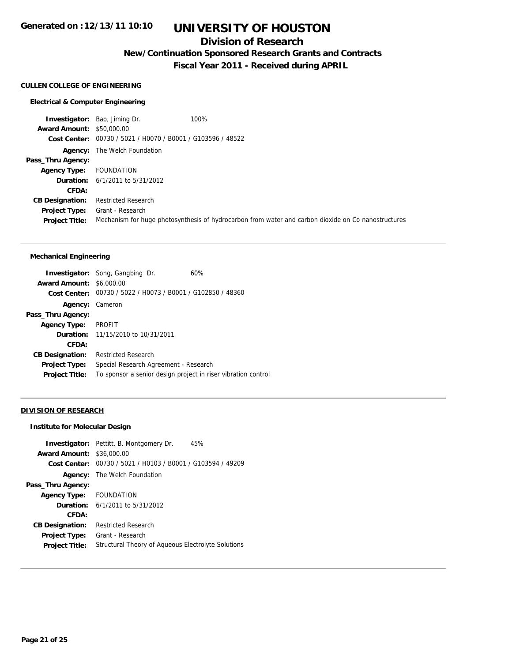## **Division of Research**

**New/Continuation Sponsored Research Grants and Contracts**

**Fiscal Year 2011 - Received during APRIL**

#### **CULLEN COLLEGE OF ENGINEERING**

#### **Electrical & Computer Engineering**

**Investigator:** Bao, Jiming Dr. 100% **Award Amount:** \$50,000.00 **Cost Center:** 00730 / 5021 / H0070 / B0001 / G103596 / 48522 **Agency:** The Welch Foundation **Pass\_Thru Agency: Agency Type:** FOUNDATION **Duration:** 6/1/2011 to 5/31/2012 **CFDA: CB Designation:** Restricted Research **Project Type:** Grant - Research **Project Title:** Mechanism for huge photosynthesis of hydrocarbon from water and carbon dioxide on Co nanostructures

#### **Mechanical Engineering**

|                        | <b>Investigator:</b> Song, Gangbing Dr.<br>60%                |
|------------------------|---------------------------------------------------------------|
| <b>Award Amount:</b>   | \$6,000.00                                                    |
| Cost Center:           | 00730 / 5022 / H0073 / B0001 / G102850 / 48360                |
| <b>Agency: Cameron</b> |                                                               |
| Pass_Thru Agency:      |                                                               |
| <b>Agency Type:</b>    | <b>PROFIT</b>                                                 |
|                        | <b>Duration:</b> 11/15/2010 to 10/31/2011                     |
| CFDA:                  |                                                               |
| <b>CB Designation:</b> | <b>Restricted Research</b>                                    |
| Project Type:          | Special Research Agreement - Research                         |
| <b>Project Title:</b>  | To sponsor a senior design project in riser vibration control |

### **DIVISION OF RESEARCH**

## **Institute for Molecular Design**

|                                  | <b>Investigator:</b> Pettitt, B. Montgomery Dr.<br>45%      |
|----------------------------------|-------------------------------------------------------------|
| <b>Award Amount: \$36,000.00</b> |                                                             |
|                                  | Cost Center: 00730 / 5021 / H0103 / B0001 / G103594 / 49209 |
|                                  | <b>Agency:</b> The Welch Foundation                         |
| Pass_Thru Agency:                |                                                             |
| Agency Type: FOUNDATION          |                                                             |
|                                  | <b>Duration:</b> $6/1/2011$ to $5/31/2012$                  |
| CFDA:                            |                                                             |
| <b>CB Designation:</b>           | <b>Restricted Research</b>                                  |
| <b>Project Type:</b>             | Grant - Research                                            |
| <b>Project Title:</b>            | Structural Theory of Aqueous Electrolyte Solutions          |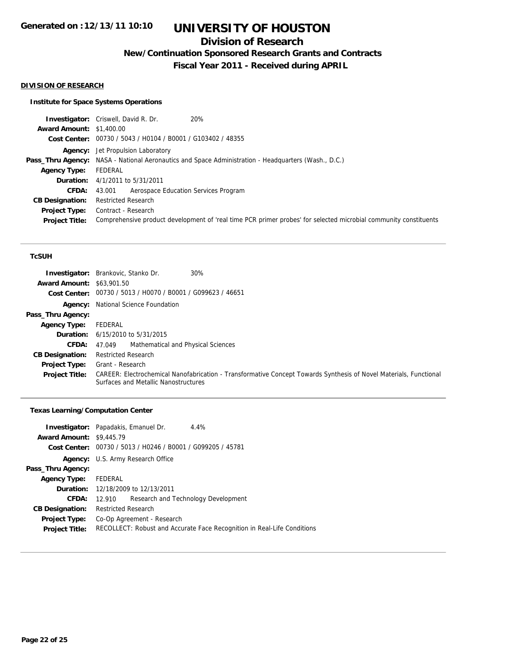## **Division of Research**

**New/Continuation Sponsored Research Grants and Contracts**

**Fiscal Year 2011 - Received during APRIL**

#### **DIVISION OF RESEARCH**

## **Institute for Space Systems Operations**

|                                 | 20%<br><b>Investigator:</b> Criswell, David R. Dr.                                                               |
|---------------------------------|------------------------------------------------------------------------------------------------------------------|
| <b>Award Amount: \$1,400.00</b> |                                                                                                                  |
|                                 | Cost Center: 00730 / 5043 / H0104 / B0001 / G103402 / 48355                                                      |
|                                 | <b>Agency:</b> Jet Propulsion Laboratory                                                                         |
|                                 | <b>Pass_Thru Agency:</b> NASA - National Aeronautics and Space Administration - Headquarters (Wash., D.C.)       |
| <b>Agency Type:</b>             | FEDERAL                                                                                                          |
|                                 | <b>Duration:</b> 4/1/2011 to 5/31/2011                                                                           |
| <b>CFDA:</b>                    | Aerospace Education Services Program<br>43.001                                                                   |
| <b>CB Designation:</b>          | <b>Restricted Research</b>                                                                                       |
|                                 | <b>Project Type:</b> Contract - Research                                                                         |
| <b>Project Title:</b>           | Comprehensive product development of 'real time PCR primer probes' for selected microbial community constituents |
|                                 |                                                                                                                  |

#### **TcSUH**

| <b>Award Amount: \$63,901.50</b> | 30%<br><b>Investigator:</b> Brankovic, Stanko Dr.<br>Cost Center: 00730 / 5013 / H0070 / B0001 / G099623 / 46651                                          |
|----------------------------------|-----------------------------------------------------------------------------------------------------------------------------------------------------------|
|                                  | <b>Agency:</b> National Science Foundation                                                                                                                |
| Pass_Thru Agency:                |                                                                                                                                                           |
| <b>Agency Type:</b>              | FEDERAL                                                                                                                                                   |
|                                  | <b>Duration:</b> $6/15/2010$ to $5/31/2015$                                                                                                               |
| <b>CFDA:</b>                     | Mathematical and Physical Sciences<br>47.049                                                                                                              |
| <b>CB Designation:</b>           | <b>Restricted Research</b>                                                                                                                                |
| <b>Project Type:</b>             | Grant - Research                                                                                                                                          |
| <b>Project Title:</b>            | CAREER: Electrochemical Nanofabrication - Transformative Concept Towards Synthesis of Novel Materials, Functional<br>Surfaces and Metallic Nanostructures |

#### **Texas Learning/Computation Center**

|                                 | <b>Investigator:</b> Papadakis, Emanuel Dr.                 | 4.4%                                                                    |  |  |
|---------------------------------|-------------------------------------------------------------|-------------------------------------------------------------------------|--|--|
| <b>Award Amount: \$9,445.79</b> |                                                             |                                                                         |  |  |
|                                 | Cost Center: 00730 / 5013 / H0246 / B0001 / G099205 / 45781 |                                                                         |  |  |
|                                 | <b>Agency:</b> U.S. Army Research Office                    |                                                                         |  |  |
| Pass_Thru Agency:               |                                                             |                                                                         |  |  |
| Agency Type: FEDERAL            |                                                             |                                                                         |  |  |
|                                 | <b>Duration:</b> 12/18/2009 to 12/13/2011                   |                                                                         |  |  |
| <b>CFDA:</b>                    | 12.910                                                      | Research and Technology Development                                     |  |  |
| <b>CB Designation:</b>          | <b>Restricted Research</b>                                  |                                                                         |  |  |
| <b>Project Type:</b>            | Co-Op Agreement - Research                                  |                                                                         |  |  |
| <b>Project Title:</b>           |                                                             | RECOLLECT: Robust and Accurate Face Recognition in Real-Life Conditions |  |  |
|                                 |                                                             |                                                                         |  |  |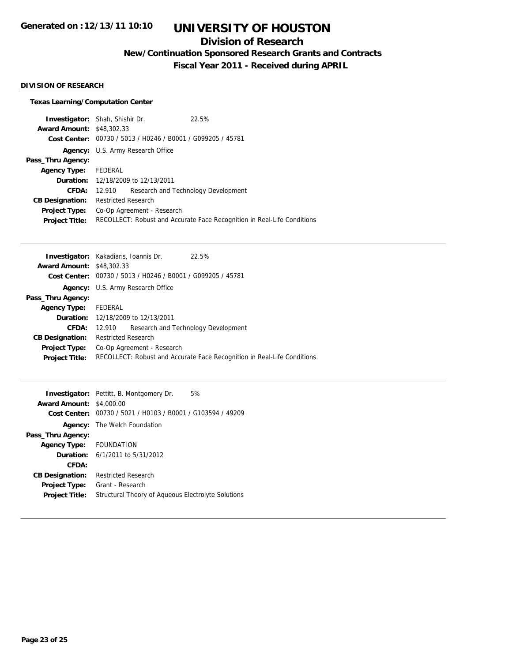## **Division of Research**

**New/Continuation Sponsored Research Grants and Contracts**

**Fiscal Year 2011 - Received during APRIL**

## **DIVISION OF RESEARCH**

## **Texas Learning/Computation Center**

| <b>Investigator:</b> Shah, Shishir Dr. |                                                                         |                                                             | 22.5%                               |
|----------------------------------------|-------------------------------------------------------------------------|-------------------------------------------------------------|-------------------------------------|
| <b>Award Amount: \$48,302.33</b>       |                                                                         |                                                             |                                     |
|                                        |                                                                         | Cost Center: 00730 / 5013 / H0246 / B0001 / G099205 / 45781 |                                     |
|                                        | Agency: U.S. Army Research Office                                       |                                                             |                                     |
| Pass_Thru Agency:                      |                                                                         |                                                             |                                     |
| <b>Agency Type:</b>                    | FEDERAL                                                                 |                                                             |                                     |
|                                        | <b>Duration:</b> 12/18/2009 to 12/13/2011                               |                                                             |                                     |
| <b>CFDA:</b>                           | 12.910                                                                  |                                                             | Research and Technology Development |
| <b>CB Designation:</b>                 | <b>Restricted Research</b>                                              |                                                             |                                     |
| <b>Project Type:</b>                   | Co-Op Agreement - Research                                              |                                                             |                                     |
| <b>Project Title:</b>                  | RECOLLECT: Robust and Accurate Face Recognition in Real-Life Conditions |                                                             |                                     |

| <b>Investigator:</b> Kakadiaris, Ioannis Dr. |                                           |                                                             | 22.5%                                                                   |
|----------------------------------------------|-------------------------------------------|-------------------------------------------------------------|-------------------------------------------------------------------------|
| <b>Award Amount: \$48,302.33</b>             |                                           |                                                             |                                                                         |
|                                              |                                           | Cost Center: 00730 / 5013 / H0246 / B0001 / G099205 / 45781 |                                                                         |
|                                              |                                           | <b>Agency:</b> U.S. Army Research Office                    |                                                                         |
| Pass_Thru Agency:                            |                                           |                                                             |                                                                         |
| <b>Agency Type:</b>                          | FEDERAL                                   |                                                             |                                                                         |
|                                              | <b>Duration:</b> 12/18/2009 to 12/13/2011 |                                                             |                                                                         |
| <b>CFDA:</b>                                 | 12.910                                    |                                                             | Research and Technology Development                                     |
| <b>CB Designation:</b>                       | <b>Restricted Research</b>                |                                                             |                                                                         |
| <b>Project Type:</b>                         | Co-Op Agreement - Research                |                                                             |                                                                         |
| <b>Project Title:</b>                        |                                           |                                                             | RECOLLECT: Robust and Accurate Face Recognition in Real-Life Conditions |
|                                              |                                           |                                                             |                                                                         |

|                         | 5%<br><b>Investigator:</b> Pettitt, B. Montgomery Dr. |
|-------------------------|-------------------------------------------------------|
| <b>Award Amount:</b>    | \$4,000.00                                            |
| Cost Center:            | 00730 / 5021 / H0103 / B0001 / G103594 / 49209        |
| Agency:                 | The Welch Foundation                                  |
| Pass_Thru Agency:       |                                                       |
| Agency Type: FOUNDATION |                                                       |
|                         | <b>Duration:</b> $6/1/2011$ to $5/31/2012$            |
| CFDA:                   |                                                       |
| <b>CB Designation:</b>  | <b>Restricted Research</b>                            |
| <b>Project Type:</b>    | Grant - Research                                      |
| <b>Project Title:</b>   | Structural Theory of Aqueous Electrolyte Solutions    |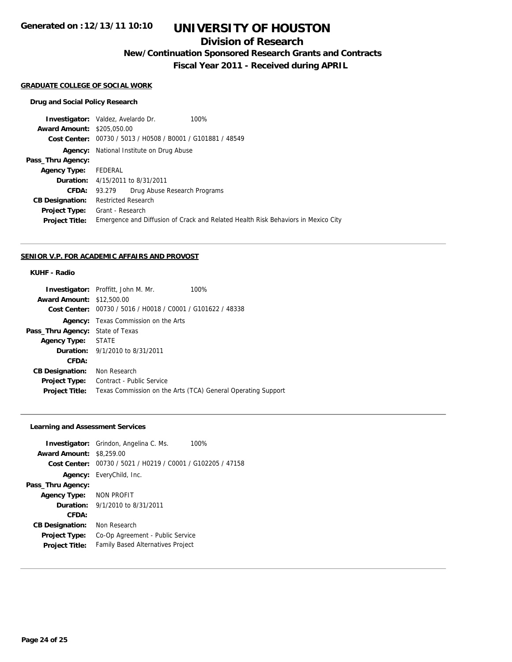## **UNIVERSITY OF HOUSTON**

## **Division of Research**

**New/Continuation Sponsored Research Grants and Contracts**

**Fiscal Year 2011 - Received during APRIL**

#### **GRADUATE COLLEGE OF SOCIAL WORK**

#### **Drug and Social Policy Research**

**Investigator:** Valdez, Avelardo Dr. 100% **Award Amount:** \$205,050.00 **Cost Center:** 00730 / 5013 / H0508 / B0001 / G101881 / 48549 **Agency:** National Institute on Drug Abuse **Pass\_Thru Agency: Agency Type:** FEDERAL **Duration:** 4/15/2011 to 8/31/2011 **CFDA:** 93.279 Drug Abuse Research Programs **CB Designation:** Restricted Research **Project Type:** Grant - Research **Project Title:** Emergence and Diffusion of Crack and Related Health Risk Behaviors in Mexico City

#### **SENIOR V.P. FOR ACADEMIC AFFAIRS AND PROVOST**

## **KUHF - Radio**

| <b>Investigator:</b> Proffitt, John M. Mr.                  | 100%                                                         |
|-------------------------------------------------------------|--------------------------------------------------------------|
| <b>Award Amount: \$12,500.00</b>                            |                                                              |
| Cost Center: 00730 / 5016 / H0018 / C0001 / G101622 / 48338 |                                                              |
| <b>Agency:</b> Texas Commission on the Arts                 |                                                              |
| Pass_Thru Agency:<br>State of Texas                         |                                                              |
| <b>STATE</b><br><b>Agency Type:</b>                         |                                                              |
| <b>Duration:</b> 9/1/2010 to 8/31/2011                      |                                                              |
|                                                             |                                                              |
| Non Research                                                |                                                              |
| Contract - Public Service                                   |                                                              |
|                                                             | Texas Commission on the Arts (TCA) General Operating Support |
|                                                             |                                                              |

## **Learning and Assessment Services**

|                                 | <b>Investigator:</b> Grindon, Angelina C. Ms.               | 100% |
|---------------------------------|-------------------------------------------------------------|------|
| <b>Award Amount: \$8,259.00</b> |                                                             |      |
|                                 | Cost Center: 00730 / 5021 / H0219 / C0001 / G102205 / 47158 |      |
|                                 | <b>Agency:</b> EveryChild, Inc.                             |      |
| Pass_Thru Agency:               |                                                             |      |
| Agency Type: NON PROFIT         |                                                             |      |
|                                 | <b>Duration:</b> $9/1/2010$ to $8/31/2011$                  |      |
| CFDA:                           |                                                             |      |
| <b>CB Designation:</b>          | Non Research                                                |      |
| <b>Project Type:</b>            | Co-Op Agreement - Public Service                            |      |
| <b>Project Title:</b>           | Family Based Alternatives Project                           |      |
|                                 |                                                             |      |